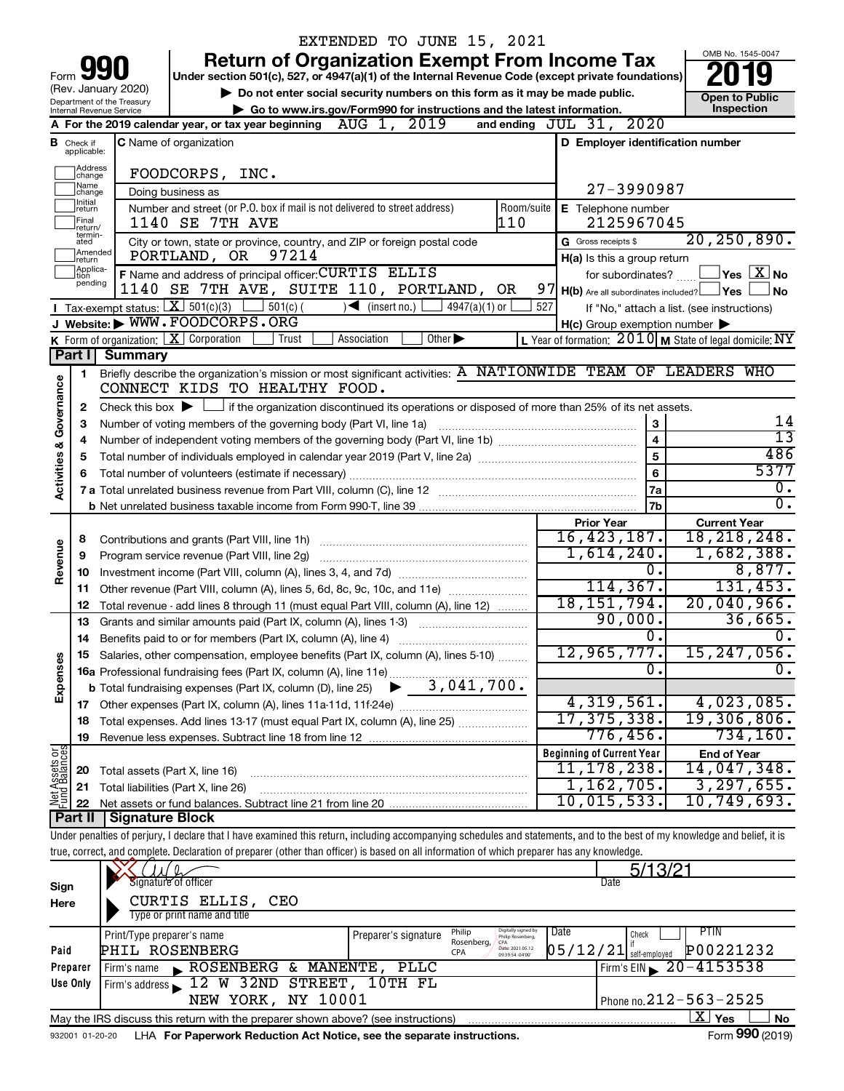|                         |                                  |                                                   | EXTENDED TO JUNE 15, 2021                                                                                                                                                  |     |                                                                          |                                                                            |
|-------------------------|----------------------------------|---------------------------------------------------|----------------------------------------------------------------------------------------------------------------------------------------------------------------------------|-----|--------------------------------------------------------------------------|----------------------------------------------------------------------------|
|                         |                                  |                                                   | <b>Return of Organization Exempt From Income Tax</b>                                                                                                                       |     |                                                                          | OMB No. 1545-0047                                                          |
| Form                    |                                  |                                                   | Under section 501(c), 527, or 4947(a)(1) of the Internal Revenue Code (except private foundations)                                                                         |     |                                                                          |                                                                            |
|                         |                                  | (Rev. January 2020)<br>Department of the Treasury | Do not enter social security numbers on this form as it may be made public.                                                                                                |     |                                                                          | <b>Open to Public</b>                                                      |
|                         |                                  | Internal Revenue Service                          | Go to www.irs.gov/Form990 for instructions and the latest information.                                                                                                     |     |                                                                          | Inspection                                                                 |
|                         |                                  |                                                   | A For the 2019 calendar year, or tax year beginning $\Delta UG$ 1, 2019                                                                                                    |     | and ending JUL 31, 2020                                                  |                                                                            |
|                         | <b>B</b> Check if<br>applicable: |                                                   | C Name of organization                                                                                                                                                     |     | D Employer identification number                                         |                                                                            |
|                         | Address<br>change                |                                                   |                                                                                                                                                                            |     |                                                                          |                                                                            |
|                         | Name<br>change                   | FOODCORPS, INC.<br>Doing business as              | 27-3990987                                                                                                                                                                 |     |                                                                          |                                                                            |
|                         | Initial<br>return                | Room/suite<br>E Telephone number                  |                                                                                                                                                                            |     |                                                                          |                                                                            |
|                         | Final<br>return/                 | 2125967045                                        |                                                                                                                                                                            |     |                                                                          |                                                                            |
|                         | termin-<br>ated<br>Amended       |                                                   | City or town, state or province, country, and ZIP or foreign postal code                                                                                                   |     | G Gross receipts \$                                                      | 20, 250, 890.                                                              |
|                         | return<br>Applica-               |                                                   | 97214<br>PORTLAND, OR                                                                                                                                                      |     | H(a) Is this a group return                                              |                                                                            |
|                         | tion<br>pending                  |                                                   | F Name and address of principal officer: CURTIS ELLIS<br>1140 SE 7TH AVE, SUITE 110, PORTLAND, OR                                                                          |     | for subordinates?<br>$97$ H(b) Are all subordinates included? $\Box$ Yes | $\sqrt{\mathsf{Yes}\mathord{\;\mathbb{X}}\mathord{\;\mathsf{No}}}$<br>l No |
|                         |                                  | Tax-exempt status: $X \over 301(c)(3)$            | $\sqrt{\frac{1}{1}}$ (insert no.)<br>$4947(a)(1)$ or<br>$501(c)$ (                                                                                                         | 527 |                                                                          | If "No," attach a list. (see instructions)                                 |
|                         |                                  |                                                   | J Website: WWW.FOODCORPS.ORG                                                                                                                                               |     | $H(c)$ Group exemption number $\blacktriangleright$                      |                                                                            |
|                         |                                  |                                                   | <b>K</b> Form of organization: $\boxed{\mathbf{X}}$ Corporation<br>$\overline{Other}$<br>Trust<br>Association                                                              |     |                                                                          | L Year of formation: $2010$ M State of legal domicile: NY                  |
|                         |                                  | Part I Summary                                    |                                                                                                                                                                            |     |                                                                          |                                                                            |
|                         | 1                                |                                                   | Briefly describe the organization's mission or most significant activities: A NATIONWIDE TEAM OF LEADERS WHO                                                               |     |                                                                          |                                                                            |
| Activities & Governance |                                  |                                                   | CONNECT KIDS TO HEALTHY FOOD.                                                                                                                                              |     |                                                                          |                                                                            |
|                         | 2                                |                                                   | Check this box $\blacktriangleright$ $\Box$ if the organization discontinued its operations or disposed of more than 25% of its net assets.                                |     |                                                                          |                                                                            |
|                         | З                                |                                                   | Number of voting members of the governing body (Part VI, line 1a)                                                                                                          |     | $\mathbf 3$<br>$\overline{\mathbf{4}}$                                   | 14<br>$\overline{13}$                                                      |
|                         | 4<br>5                           |                                                   |                                                                                                                                                                            |     | 5                                                                        | 486                                                                        |
|                         | 6                                |                                                   |                                                                                                                                                                            |     | 6                                                                        | 5377                                                                       |
|                         |                                  |                                                   |                                                                                                                                                                            |     | 7a                                                                       | о.                                                                         |
|                         |                                  |                                                   |                                                                                                                                                                            |     | 7b                                                                       | σ.                                                                         |
|                         |                                  |                                                   |                                                                                                                                                                            |     | <b>Prior Year</b>                                                        | <b>Current Year</b>                                                        |
|                         | 8                                |                                                   |                                                                                                                                                                            |     | 16,423,187.                                                              | 18, 218, 248.                                                              |
| Revenue                 | 9                                |                                                   |                                                                                                                                                                            |     | 1,614,240.                                                               | 1,682,388.                                                                 |
|                         | 10                               |                                                   |                                                                                                                                                                            |     | 0.<br>114, 367.                                                          | 8,877.<br>131,453.                                                         |
|                         | 11<br>12                         |                                                   | Other revenue (Part VIII, column (A), lines 5, 6d, 8c, 9c, 10c, and 11e)<br>Total revenue - add lines 8 through 11 (must equal Part VIII, column (A), line 12)             |     | 18, 151, 794.                                                            | 20,040,966.                                                                |
|                         | 13                               |                                                   | Grants and similar amounts paid (Part IX, column (A), lines 1-3)<br><u> 1986 - Jan Barbarat, martin a</u>                                                                  |     | 90,000.                                                                  | 36,665.                                                                    |
|                         | 14                               |                                                   | Benefits paid to or for members (Part IX, column (A), line 4)                                                                                                              |     | О.                                                                       | $\overline{0}$ .                                                           |
|                         |                                  |                                                   | 15 Salaries, other compensation, employee benefits (Part IX, column (A), lines 5-10)                                                                                       |     | 12,965,777.                                                              | 15,247,056.                                                                |
| Expenses                |                                  |                                                   |                                                                                                                                                                            |     | 0.                                                                       | 0.                                                                         |
|                         |                                  |                                                   |                                                                                                                                                                            |     |                                                                          |                                                                            |
|                         |                                  |                                                   |                                                                                                                                                                            |     | 4,319,561.                                                               | 4,023,085.                                                                 |
|                         | 18                               |                                                   | Total expenses. Add lines 13-17 (must equal Part IX, column (A), line 25)                                                                                                  |     | 17, 375, 338.<br>$776,456$ .                                             | 19,306,806.<br>734, 160.                                                   |
|                         | 19                               |                                                   |                                                                                                                                                                            |     | <b>Beginning of Current Year</b>                                         | <b>End of Year</b>                                                         |
| Net Assets or           | 20                               |                                                   | Total assets (Part X, line 16)                                                                                                                                             |     | 11, 178, 238.                                                            | 14,047,348.                                                                |
|                         | 21                               |                                                   | Total liabilities (Part X, line 26)                                                                                                                                        |     | 1,162,705.                                                               | 3, 297, 655.                                                               |
|                         | 22                               |                                                   |                                                                                                                                                                            |     | 10,015,533.                                                              | 10,749,693.                                                                |
|                         | Part II                          | Signature Block                                   |                                                                                                                                                                            |     |                                                                          |                                                                            |
|                         |                                  |                                                   | Under penalties of perjury, I declare that I have examined this return, including accompanying schedules and statements, and to the best of my knowledge and belief, it is |     |                                                                          |                                                                            |
|                         |                                  |                                                   | true, correct, and complete. Declaration of preparer (other than officer) is based on all information of which preparer has any knowledge.                                 |     |                                                                          |                                                                            |
|                         |                                  |                                                   | Signature of officer                                                                                                                                                       |     | 5/13/2<br>Date                                                           |                                                                            |
| Sign<br>Here            |                                  |                                                   | CURTIS ELLIS,<br>CEO                                                                                                                                                       |     |                                                                          |                                                                            |
|                         |                                  |                                                   | Type or print name and title                                                                                                                                               |     |                                                                          |                                                                            |
|                         |                                  | Print/Type preparer's name                        | Digitally signed by<br>Philip Rosenberg,<br>Philip<br>Preparer's signature                                                                                                 |     | Date<br>Check                                                            | PTIN                                                                       |
| Paid                    |                                  |                                                   | Rosenberg,<br>PHIL ROSENBERG<br>Date: 2021.05.12<br>CPA                                                                                                                    |     | $05/12/21$ self-employed                                                 | P00221232                                                                  |
|                         | Preparer                         | Firm's name                                       | ROSENBERG & MANENTE, PLLC                                                                                                                                                  |     |                                                                          | Firm's EIN $\geq 20 - 4153538$                                             |
|                         | Use Only                         |                                                   | Firm's address 12 W 32ND STREET, 10TH FL                                                                                                                                   |     |                                                                          |                                                                            |
|                         |                                  |                                                   | NEW YORK, NY 10001                                                                                                                                                         |     |                                                                          | Phone no. 212 - 563 - 2525                                                 |
|                         |                                  |                                                   | May the IRS discuss this return with the preparer shown above? (see instructions)                                                                                          |     |                                                                          | $\overline{\text{X}}$ Yes<br>No                                            |
|                         | 932001 01-20-20                  |                                                   | LHA For Paperwork Reduction Act Notice, see the separate instructions.                                                                                                     |     |                                                                          | Form 990 (2019)                                                            |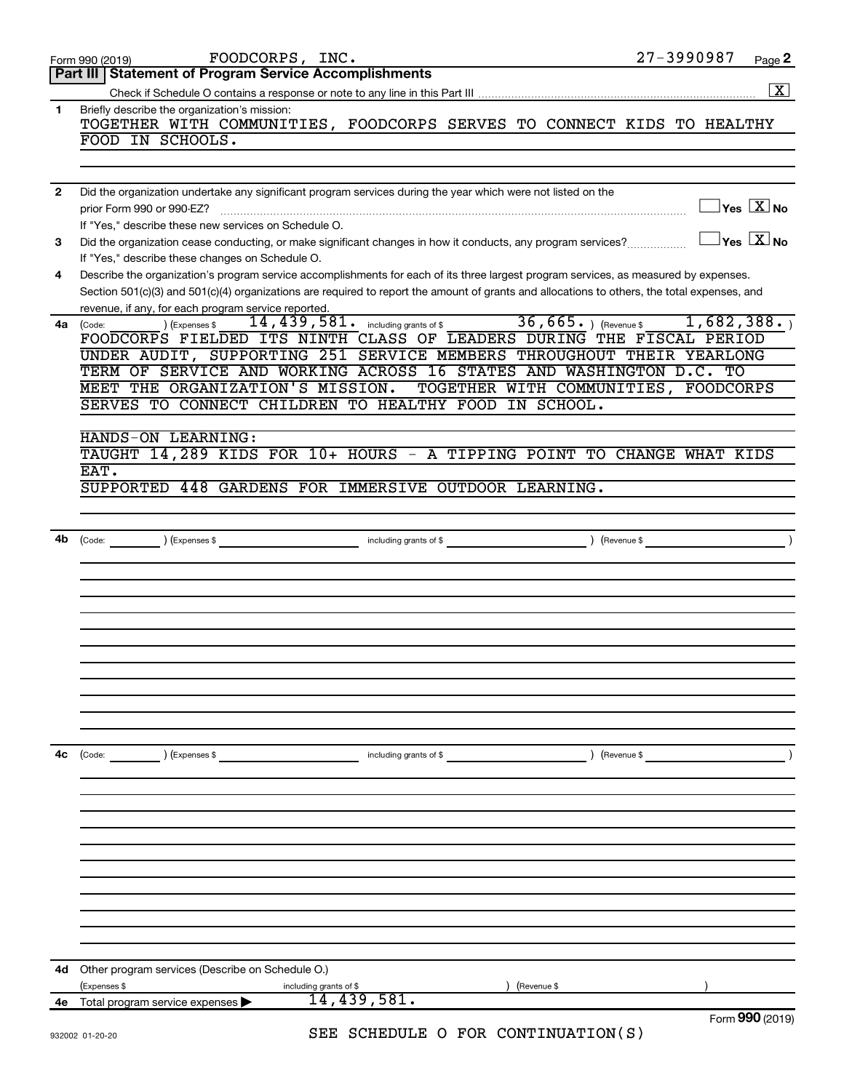|                | FOODCORPS, INC.<br>Form 990 (2019)                                                                                                                                                                  | 27-3990987  | Page 2                                  |
|----------------|-----------------------------------------------------------------------------------------------------------------------------------------------------------------------------------------------------|-------------|-----------------------------------------|
|                | Part III   Statement of Program Service Accomplishments                                                                                                                                             |             |                                         |
|                |                                                                                                                                                                                                     |             | $\boxed{\text{X}}$                      |
| $\mathbf{1}$   | Briefly describe the organization's mission:<br>TOGETHER WITH COMMUNITIES, FOODCORPS SERVES TO CONNECT KIDS TO HEALTHY                                                                              |             |                                         |
|                | FOOD IN SCHOOLS.                                                                                                                                                                                    |             |                                         |
|                |                                                                                                                                                                                                     |             |                                         |
| $\overline{2}$ | Did the organization undertake any significant program services during the year which were not listed on the                                                                                        |             |                                         |
|                | prior Form 990 or 990-EZ?                                                                                                                                                                           |             | $\Box$ Yes $[\overline{\mathrm{X}}]$ No |
|                | If "Yes," describe these new services on Schedule O.                                                                                                                                                |             |                                         |
| 3              | Did the organization cease conducting, or make significant changes in how it conducts, any program services?<br>If "Yes," describe these changes on Schedule O.                                     |             | $\Box$ Yes $[\overline{\mathrm{X}}]$ No |
| 4              | Describe the organization's program service accomplishments for each of its three largest program services, as measured by expenses.                                                                |             |                                         |
|                | Section 501(c)(3) and 501(c)(4) organizations are required to report the amount of grants and allocations to others, the total expenses, and<br>revenue, if any, for each program service reported. |             |                                         |
| 4a             | $\frac{36}{14}$ , 439, 581. including grants of \$ 36, 665. ) (Revenue \$ 1, 682, 388. )<br>) (Expenses \$<br>(Code:                                                                                |             |                                         |
|                | FOODCORPS FIELDED ITS NINTH CLASS OF LEADERS DURING THE FISCAL PERIOD<br>UNDER AUDIT, SUPPORTING 251 SERVICE MEMBERS THROUGHOUT THEIR YEARLONG                                                      |             |                                         |
|                | TERM OF SERVICE AND WORKING ACROSS 16 STATES AND WASHINGTON D.C. TO                                                                                                                                 |             |                                         |
|                | MEET THE ORGANIZATION'S MISSION.<br>TOGETHER WITH COMMUNITIES, FOODCORPS                                                                                                                            |             |                                         |
|                | SERVES TO CONNECT CHILDREN TO HEALTHY FOOD IN SCHOOL.                                                                                                                                               |             |                                         |
|                |                                                                                                                                                                                                     |             |                                         |
|                | HANDS-ON LEARNING:                                                                                                                                                                                  |             |                                         |
|                | TAUGHT 14, 289 KIDS FOR 10+ HOURS - A TIPPING POINT TO CHANGE WHAT KIDS                                                                                                                             |             |                                         |
|                | EAT.                                                                                                                                                                                                |             |                                         |
|                | SUPPORTED 448 GARDENS FOR IMMERSIVE OUTDOOR LEARNING.                                                                                                                                               |             |                                         |
|                |                                                                                                                                                                                                     |             |                                         |
| 4b             |                                                                                                                                                                                                     |             |                                         |
|                |                                                                                                                                                                                                     |             |                                         |
|                |                                                                                                                                                                                                     |             |                                         |
|                |                                                                                                                                                                                                     |             |                                         |
|                |                                                                                                                                                                                                     |             |                                         |
|                |                                                                                                                                                                                                     |             |                                         |
|                |                                                                                                                                                                                                     |             |                                         |
|                |                                                                                                                                                                                                     |             |                                         |
|                |                                                                                                                                                                                                     |             |                                         |
|                |                                                                                                                                                                                                     |             |                                         |
|                |                                                                                                                                                                                                     |             |                                         |
|                |                                                                                                                                                                                                     |             |                                         |
| 4c             | ) (Expenses \$<br>(Code:<br>including grants of \$                                                                                                                                                  | (Revenue \$ |                                         |
|                |                                                                                                                                                                                                     |             |                                         |
|                |                                                                                                                                                                                                     |             |                                         |
|                |                                                                                                                                                                                                     |             |                                         |
|                |                                                                                                                                                                                                     |             |                                         |
|                |                                                                                                                                                                                                     |             |                                         |
|                |                                                                                                                                                                                                     |             |                                         |
|                |                                                                                                                                                                                                     |             |                                         |
|                |                                                                                                                                                                                                     |             |                                         |
|                |                                                                                                                                                                                                     |             |                                         |
|                |                                                                                                                                                                                                     |             |                                         |
|                |                                                                                                                                                                                                     |             |                                         |
| 4d             | Other program services (Describe on Schedule O.)                                                                                                                                                    |             |                                         |
|                | (Revenue \$<br>(Expenses \$<br>including grants of \$                                                                                                                                               |             |                                         |
| 4е             | 14,439,581.<br>Total program service expenses                                                                                                                                                       |             |                                         |
|                | SEE SCHEDULE O FOR CONTINUATION(S)<br>932002 01-20-20                                                                                                                                               |             | Form 990 (2019)                         |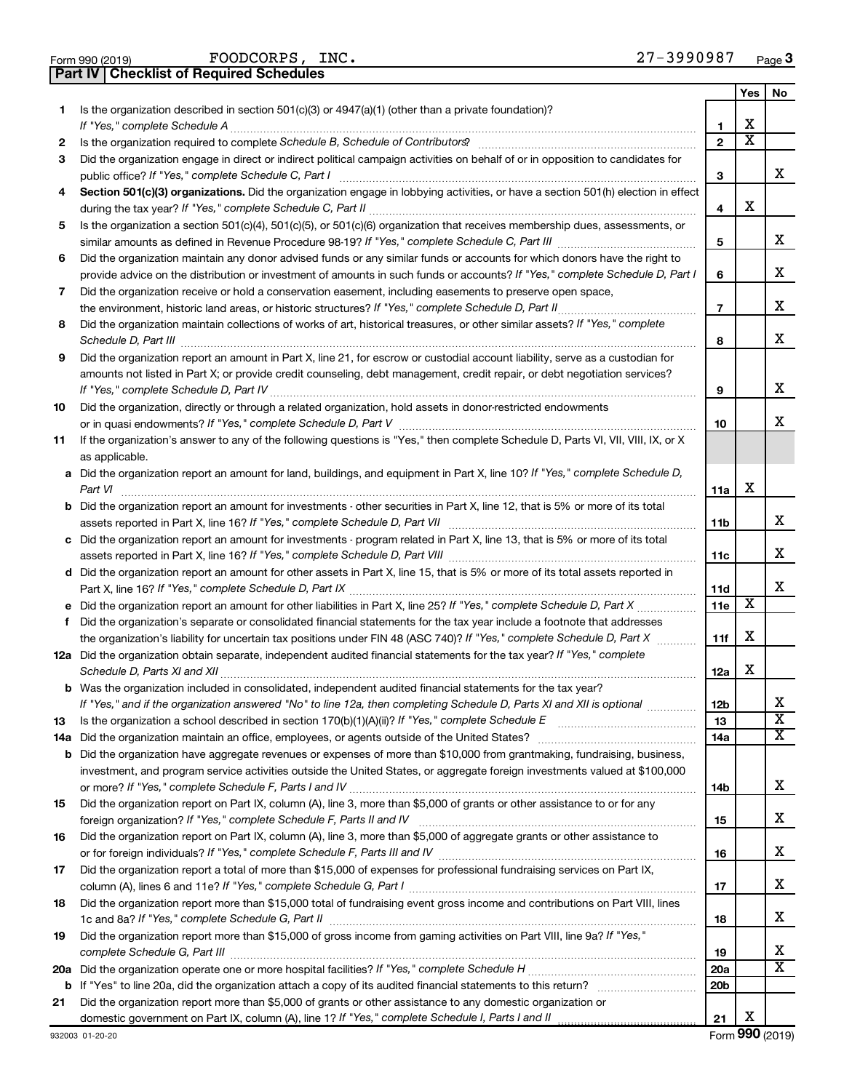| Form 990 (2019 |  |  |
|----------------|--|--|

FOODCORPS, INC. 27-3990987

**Part IV Checklist of Required Schedules**

|    |                                                                                                                                                                                                                                                           |                          | Yes                     | No                           |
|----|-----------------------------------------------------------------------------------------------------------------------------------------------------------------------------------------------------------------------------------------------------------|--------------------------|-------------------------|------------------------------|
| 1  | Is the organization described in section 501(c)(3) or 4947(a)(1) (other than a private foundation)?                                                                                                                                                       | 1                        | х                       |                              |
| 2  |                                                                                                                                                                                                                                                           | $\mathbf{2}$             | $\overline{\textbf{x}}$ |                              |
| 3  | Did the organization engage in direct or indirect political campaign activities on behalf of or in opposition to candidates for                                                                                                                           |                          |                         |                              |
|    | public office? If "Yes," complete Schedule C, Part I                                                                                                                                                                                                      | 3                        |                         | x                            |
| 4  | Section 501(c)(3) organizations. Did the organization engage in lobbying activities, or have a section 501(h) election in effect                                                                                                                          | 4                        | х                       |                              |
| 5  | Is the organization a section 501(c)(4), 501(c)(5), or 501(c)(6) organization that receives membership dues, assessments, or                                                                                                                              |                          |                         |                              |
|    |                                                                                                                                                                                                                                                           | 5                        |                         | x                            |
| 6  | Did the organization maintain any donor advised funds or any similar funds or accounts for which donors have the right to<br>provide advice on the distribution or investment of amounts in such funds or accounts? If "Yes," complete Schedule D, Part I | 6                        |                         | x                            |
| 7  | Did the organization receive or hold a conservation easement, including easements to preserve open space,                                                                                                                                                 |                          |                         |                              |
|    |                                                                                                                                                                                                                                                           | $\overline{\phantom{a}}$ |                         | х                            |
| 8  | Did the organization maintain collections of works of art, historical treasures, or other similar assets? If "Yes," complete<br>Schedule D, Part III <b>www.community.community.community.community.community.community.com</b>                           | 8                        |                         | x                            |
| 9  | Did the organization report an amount in Part X, line 21, for escrow or custodial account liability, serve as a custodian for                                                                                                                             |                          |                         |                              |
|    | amounts not listed in Part X; or provide credit counseling, debt management, credit repair, or debt negotiation services?                                                                                                                                 | 9                        |                         | х                            |
| 10 | Did the organization, directly or through a related organization, hold assets in donor-restricted endowments                                                                                                                                              |                          |                         |                              |
|    |                                                                                                                                                                                                                                                           | 10                       |                         | x                            |
| 11 | If the organization's answer to any of the following questions is "Yes," then complete Schedule D, Parts VI, VII, VIII, IX, or X<br>as applicable.                                                                                                        |                          |                         |                              |
|    | a Did the organization report an amount for land, buildings, and equipment in Part X, line 10? If "Yes," complete Schedule D,                                                                                                                             |                          |                         |                              |
|    | Part VI                                                                                                                                                                                                                                                   | 11a                      | х                       |                              |
|    | <b>b</b> Did the organization report an amount for investments - other securities in Part X, line 12, that is 5% or more of its total                                                                                                                     | 11b                      |                         | x                            |
|    | c Did the organization report an amount for investments - program related in Part X, line 13, that is 5% or more of its total                                                                                                                             |                          |                         |                              |
|    |                                                                                                                                                                                                                                                           | 11c                      |                         | x                            |
|    | d Did the organization report an amount for other assets in Part X, line 15, that is 5% or more of its total assets reported in                                                                                                                           | 11d                      |                         | х                            |
|    |                                                                                                                                                                                                                                                           | <b>11e</b>               | х                       |                              |
| f  | Did the organization's separate or consolidated financial statements for the tax year include a footnote that addresses                                                                                                                                   |                          |                         |                              |
|    | the organization's liability for uncertain tax positions under FIN 48 (ASC 740)? If "Yes," complete Schedule D, Part X                                                                                                                                    | 11f                      | х                       |                              |
|    | 12a Did the organization obtain separate, independent audited financial statements for the tax year? If "Yes," complete                                                                                                                                   | 12a                      | х                       |                              |
|    | b Was the organization included in consolidated, independent audited financial statements for the tax year?                                                                                                                                               |                          |                         |                              |
|    | If "Yes," and if the organization answered "No" to line 12a, then completing Schedule D, Parts XI and XII is optional                                                                                                                                     | 12 <sub>b</sub>          |                         | х                            |
| 13 |                                                                                                                                                                                                                                                           | 13                       |                         | $\overline{\texttt{x}}$      |
|    |                                                                                                                                                                                                                                                           | 14a                      |                         | X                            |
|    | <b>b</b> Did the organization have aggregate revenues or expenses of more than \$10,000 from grantmaking, fundraising, business,                                                                                                                          |                          |                         |                              |
|    | investment, and program service activities outside the United States, or aggregate foreign investments valued at \$100,000                                                                                                                                |                          |                         | х                            |
| 15 | Did the organization report on Part IX, column (A), line 3, more than \$5,000 of grants or other assistance to or for any                                                                                                                                 | 14b                      |                         |                              |
|    |                                                                                                                                                                                                                                                           | 15                       |                         | х                            |
| 16 | Did the organization report on Part IX, column (A), line 3, more than \$5,000 of aggregate grants or other assistance to                                                                                                                                  |                          |                         |                              |
|    |                                                                                                                                                                                                                                                           | 16                       |                         | х                            |
| 17 | Did the organization report a total of more than \$15,000 of expenses for professional fundraising services on Part IX,                                                                                                                                   |                          |                         |                              |
|    |                                                                                                                                                                                                                                                           | 17                       |                         | х                            |
| 18 | Did the organization report more than \$15,000 total of fundraising event gross income and contributions on Part VIII, lines                                                                                                                              |                          |                         |                              |
|    |                                                                                                                                                                                                                                                           | 18                       |                         | х                            |
| 19 | Did the organization report more than \$15,000 of gross income from gaming activities on Part VIII, line 9a? If "Yes,"                                                                                                                                    |                          |                         |                              |
|    |                                                                                                                                                                                                                                                           | 19                       |                         | х<br>$\overline{\mathbf{X}}$ |
|    |                                                                                                                                                                                                                                                           | 20a                      |                         |                              |
|    |                                                                                                                                                                                                                                                           | 20 <sub>b</sub>          |                         |                              |
| 21 | Did the organization report more than \$5,000 of grants or other assistance to any domestic organization or                                                                                                                                               |                          | Х                       |                              |
|    |                                                                                                                                                                                                                                                           | 21                       |                         |                              |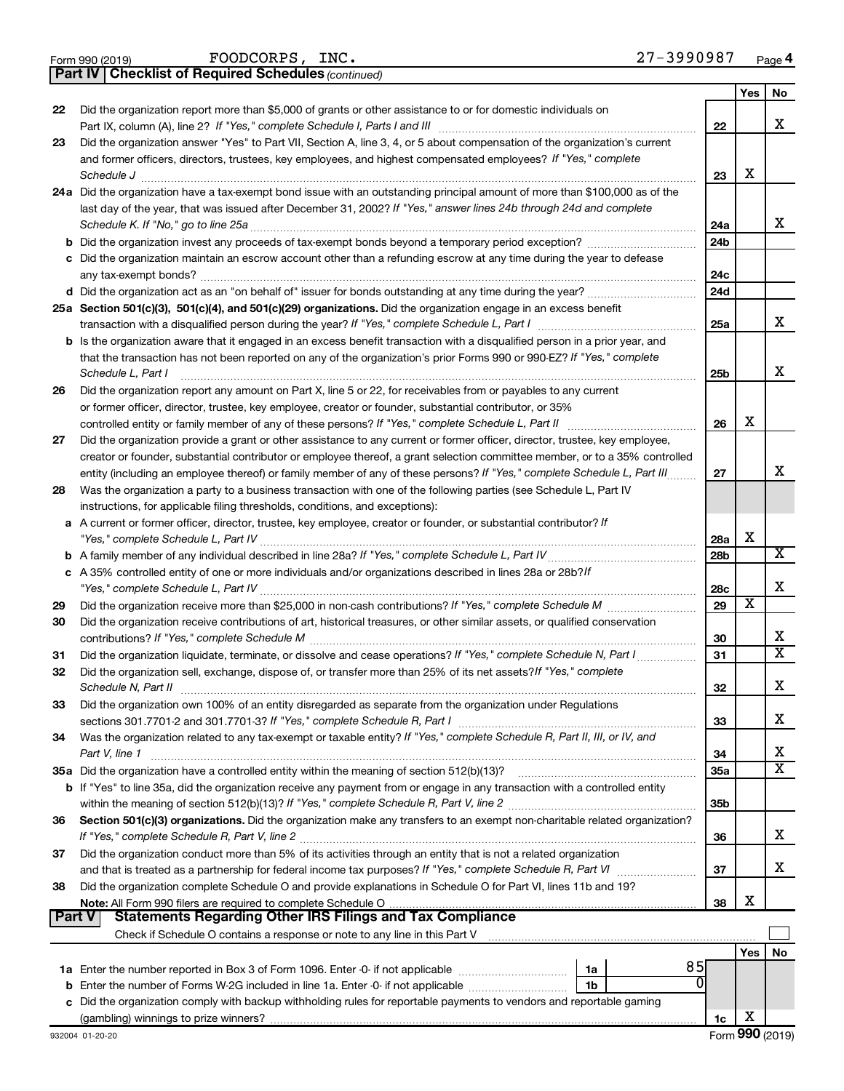|  | Form 990 (2019) |
|--|-----------------|
|  |                 |

FOODCORPS, INC. 27-3990987

**Part IV Checklist of Required Schedules**

*(continued)*

|          |                                                                                                                                                                                                                                        |                 | Yes | No                           |
|----------|----------------------------------------------------------------------------------------------------------------------------------------------------------------------------------------------------------------------------------------|-----------------|-----|------------------------------|
| 22       | Did the organization report more than \$5,000 of grants or other assistance to or for domestic individuals on                                                                                                                          |                 |     |                              |
|          | Part IX, column (A), line 2? If "Yes," complete Schedule I, Parts I and III                                                                                                                                                            | 22              |     | x                            |
| 23       | Did the organization answer "Yes" to Part VII, Section A, line 3, 4, or 5 about compensation of the organization's current                                                                                                             |                 |     |                              |
|          | and former officers, directors, trustees, key employees, and highest compensated employees? If "Yes," complete                                                                                                                         |                 | х   |                              |
|          | Schedule J<br>24a Did the organization have a tax-exempt bond issue with an outstanding principal amount of more than \$100,000 as of the                                                                                              | 23              |     |                              |
|          | last day of the year, that was issued after December 31, 2002? If "Yes," answer lines 24b through 24d and complete                                                                                                                     |                 |     |                              |
|          | Schedule K. If "No," go to line 25a                                                                                                                                                                                                    | 24a             |     | x                            |
|          |                                                                                                                                                                                                                                        | 24 <sub>b</sub> |     |                              |
|          | c Did the organization maintain an escrow account other than a refunding escrow at any time during the year to defease                                                                                                                 |                 |     |                              |
|          |                                                                                                                                                                                                                                        | 24c             |     |                              |
|          |                                                                                                                                                                                                                                        | 24 <sub>d</sub> |     |                              |
|          | 25a Section 501(c)(3), 501(c)(4), and 501(c)(29) organizations. Did the organization engage in an excess benefit                                                                                                                       |                 |     |                              |
|          |                                                                                                                                                                                                                                        | 25a             |     | x                            |
|          | b Is the organization aware that it engaged in an excess benefit transaction with a disqualified person in a prior year, and                                                                                                           |                 |     |                              |
|          | that the transaction has not been reported on any of the organization's prior Forms 990 or 990-EZ? If "Yes," complete                                                                                                                  |                 |     |                              |
|          | Schedule L, Part I                                                                                                                                                                                                                     | 25b             |     | x                            |
| 26       | Did the organization report any amount on Part X, line 5 or 22, for receivables from or payables to any current                                                                                                                        |                 |     |                              |
|          | or former officer, director, trustee, key employee, creator or founder, substantial contributor, or 35%                                                                                                                                |                 | х   |                              |
| 27       | controlled entity or family member of any of these persons? If "Yes," complete Schedule L, Part II<br>Did the organization provide a grant or other assistance to any current or former officer, director, trustee, key employee,      | 26              |     |                              |
|          | creator or founder, substantial contributor or employee thereof, a grant selection committee member, or to a 35% controlled                                                                                                            |                 |     |                              |
|          | entity (including an employee thereof) or family member of any of these persons? If "Yes," complete Schedule L, Part III                                                                                                               | 27              |     | x                            |
| 28       | Was the organization a party to a business transaction with one of the following parties (see Schedule L, Part IV                                                                                                                      |                 |     |                              |
|          | instructions, for applicable filing thresholds, conditions, and exceptions):                                                                                                                                                           |                 |     |                              |
|          | a A current or former officer, director, trustee, key employee, creator or founder, or substantial contributor? If                                                                                                                     |                 |     |                              |
|          |                                                                                                                                                                                                                                        | 28a             | X   |                              |
|          |                                                                                                                                                                                                                                        | 28b             |     | $\overline{\mathbf{X}}$      |
|          | c A 35% controlled entity of one or more individuals and/or organizations described in lines 28a or 28b? If                                                                                                                            |                 |     |                              |
|          | "Yes," complete Schedule L, Part IV                                                                                                                                                                                                    | 28c             |     | X                            |
| 29       |                                                                                                                                                                                                                                        | 29              | X   |                              |
| 30       | Did the organization receive contributions of art, historical treasures, or other similar assets, or qualified conservation                                                                                                            |                 |     |                              |
|          |                                                                                                                                                                                                                                        | 30              |     | х<br>$\overline{\mathtt{x}}$ |
| 31<br>32 | Did the organization liquidate, terminate, or dissolve and cease operations? If "Yes," complete Schedule N, Part I<br>Did the organization sell, exchange, dispose of, or transfer more than 25% of its net assets? If "Yes," complete | 31              |     |                              |
|          | Schedule N, Part II                                                                                                                                                                                                                    | 32              |     | X                            |
| 33       | Did the organization own 100% of an entity disregarded as separate from the organization under Regulations                                                                                                                             |                 |     |                              |
|          |                                                                                                                                                                                                                                        | 33              |     | х                            |
| 34       | Was the organization related to any tax-exempt or taxable entity? If "Yes," complete Schedule R, Part II, III, or IV, and                                                                                                              |                 |     |                              |
|          | Part V, line 1                                                                                                                                                                                                                         | 34              |     | x                            |
|          |                                                                                                                                                                                                                                        | 35a             |     | $\overline{\mathtt{x}}$      |
|          | <b>b</b> If "Yes" to line 35a, did the organization receive any payment from or engage in any transaction with a controlled entity                                                                                                     |                 |     |                              |
|          |                                                                                                                                                                                                                                        | 35b             |     |                              |
| 36       | Section 501(c)(3) organizations. Did the organization make any transfers to an exempt non-charitable related organization?                                                                                                             |                 |     |                              |
|          |                                                                                                                                                                                                                                        | 36              |     | x                            |
| 37       | Did the organization conduct more than 5% of its activities through an entity that is not a related organization                                                                                                                       |                 |     | x                            |
|          |                                                                                                                                                                                                                                        | 37              |     |                              |
| 38       | Did the organization complete Schedule O and provide explanations in Schedule O for Part VI, lines 11b and 19?                                                                                                                         | 38              | х   |                              |
|          | <b>Part V</b><br>Statements Regarding Other IRS Filings and Tax Compliance                                                                                                                                                             |                 |     |                              |
|          |                                                                                                                                                                                                                                        |                 |     |                              |
|          |                                                                                                                                                                                                                                        |                 | Yes | No                           |
|          | 85<br>1a                                                                                                                                                                                                                               |                 |     |                              |
|          | $\Omega$<br><b>b</b> Enter the number of Forms W-2G included in line 1a. Enter -0- if not applicable<br>1b                                                                                                                             |                 |     |                              |
|          | c Did the organization comply with backup withholding rules for reportable payments to vendors and reportable gaming                                                                                                                   |                 |     |                              |
|          |                                                                                                                                                                                                                                        | 1c              | х   |                              |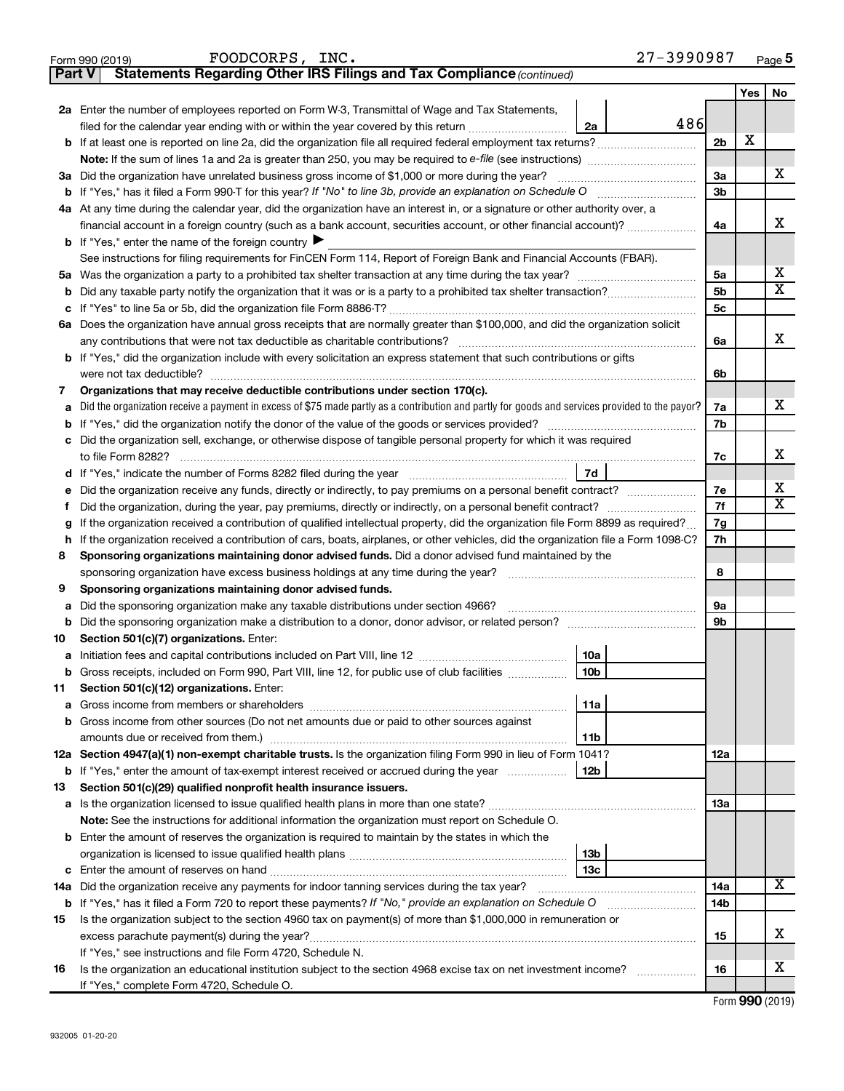|         | 27-3990987<br>FOODCORPS, INC.<br>Form 990 (2019)                                                                                                |                |            | Page 5                     |
|---------|-------------------------------------------------------------------------------------------------------------------------------------------------|----------------|------------|----------------------------|
| Part V  | Statements Regarding Other IRS Filings and Tax Compliance (continued)                                                                           |                |            |                            |
|         |                                                                                                                                                 |                | <b>Yes</b> | No                         |
|         | 2a Enter the number of employees reported on Form W-3, Transmittal of Wage and Tax Statements,                                                  |                |            |                            |
|         | 486<br>filed for the calendar year ending with or within the year covered by this return <i>[[[[[[[[[[[[[]]]</i> ]]<br>2a                       |                |            |                            |
| b       | If at least one is reported on line 2a, did the organization file all required federal employment tax returns?                                  | 2 <sub>b</sub> | х          |                            |
|         |                                                                                                                                                 |                |            |                            |
|         | 3a Did the organization have unrelated business gross income of \$1,000 or more during the year?                                                | 3a             |            | X.                         |
|         |                                                                                                                                                 | 3b             |            |                            |
|         | 4a At any time during the calendar year, did the organization have an interest in, or a signature or other authority over, a                    |                |            |                            |
|         | financial account in a foreign country (such as a bank account, securities account, or other financial account)?                                | 4a             |            | x                          |
|         | <b>b</b> If "Yes," enter the name of the foreign country $\blacktriangleright$                                                                  |                |            |                            |
|         | See instructions for filing requirements for FinCEN Form 114, Report of Foreign Bank and Financial Accounts (FBAR).                             |                |            |                            |
|         |                                                                                                                                                 | 5a             |            | х                          |
| b       |                                                                                                                                                 | 5 <sub>b</sub> |            | $\overline{\texttt{X}}$    |
|         |                                                                                                                                                 | 5c             |            |                            |
|         | 6a Does the organization have annual gross receipts that are normally greater than \$100,000, and did the organization solicit                  |                |            |                            |
|         |                                                                                                                                                 | 6a             |            | х                          |
|         | <b>b</b> If "Yes," did the organization include with every solicitation an express statement that such contributions or gifts                   |                |            |                            |
|         | were not tax deductible?                                                                                                                        | 6b             |            |                            |
| 7       | Organizations that may receive deductible contributions under section 170(c).                                                                   |                |            |                            |
| a       | Did the organization receive a payment in excess of \$75 made partly as a contribution and partly for goods and services provided to the payor? | 7a             |            | x                          |
| b       |                                                                                                                                                 | 7b             |            |                            |
|         | c Did the organization sell, exchange, or otherwise dispose of tangible personal property for which it was required                             |                |            |                            |
|         | to file Form 8282?                                                                                                                              | 7c             |            | x                          |
| d       | 7d                                                                                                                                              |                |            |                            |
| е       | Did the organization receive any funds, directly or indirectly, to pay premiums on a personal benefit contract?                                 | 7е             |            | x<br>$\overline{\text{x}}$ |
| f.      | Did the organization, during the year, pay premiums, directly or indirectly, on a personal benefit contract?                                    | 7f             |            |                            |
| g       | If the organization received a contribution of qualified intellectual property, did the organization file Form 8899 as required?                | 7g             |            |                            |
| h.      | If the organization received a contribution of cars, boats, airplanes, or other vehicles, did the organization file a Form 1098-C?              | 7h             |            |                            |
| 8       | Sponsoring organizations maintaining donor advised funds. Did a donor advised fund maintained by the                                            |                |            |                            |
|         | sponsoring organization have excess business holdings at any time during the year?                                                              | 8              |            |                            |
| 9       | Sponsoring organizations maintaining donor advised funds.                                                                                       | 9а             |            |                            |
| а       |                                                                                                                                                 | 9b             |            |                            |
| b<br>10 | Section 501(c)(7) organizations. Enter:                                                                                                         |                |            |                            |
|         | 10a                                                                                                                                             |                |            |                            |
| b       | Gross receipts, included on Form 990, Part VIII, line 12, for public use of club facilities<br>10 <sub>b</sub>                                  |                |            |                            |
| 11      | Section 501(c)(12) organizations. Enter:                                                                                                        |                |            |                            |
| а       | 11a                                                                                                                                             |                |            |                            |
| b       | Gross income from other sources (Do not net amounts due or paid to other sources against                                                        |                |            |                            |
|         | 11b                                                                                                                                             |                |            |                            |
|         | 12a Section 4947(a)(1) non-exempt charitable trusts. Is the organization filing Form 990 in lieu of Form 1041?                                  | 12a            |            |                            |
| b       | If "Yes," enter the amount of tax-exempt interest received or accrued during the year<br>12b                                                    |                |            |                            |
| 13      | Section 501(c)(29) qualified nonprofit health insurance issuers.                                                                                |                |            |                            |
| а       |                                                                                                                                                 | 13a            |            |                            |
|         | Note: See the instructions for additional information the organization must report on Schedule O.                                               |                |            |                            |
|         | <b>b</b> Enter the amount of reserves the organization is required to maintain by the states in which the                                       |                |            |                            |
|         | 13b                                                                                                                                             |                |            |                            |
|         | 13с                                                                                                                                             |                |            |                            |
|         | 14a Did the organization receive any payments for indoor tanning services during the tax year?                                                  | 14a            |            | х                          |
| b       |                                                                                                                                                 | 14b            |            |                            |
| 15      | Is the organization subject to the section 4960 tax on payment(s) of more than \$1,000,000 in remuneration or                                   |                |            |                            |
|         |                                                                                                                                                 | 15             |            | x                          |
|         | If "Yes," see instructions and file Form 4720, Schedule N.                                                                                      |                |            |                            |
| 16      | Is the organization an educational institution subject to the section 4968 excise tax on net investment income?                                 | 16             |            | х                          |
|         | If "Yes," complete Form 4720, Schedule O.                                                                                                       |                |            |                            |

Form (2019) **990**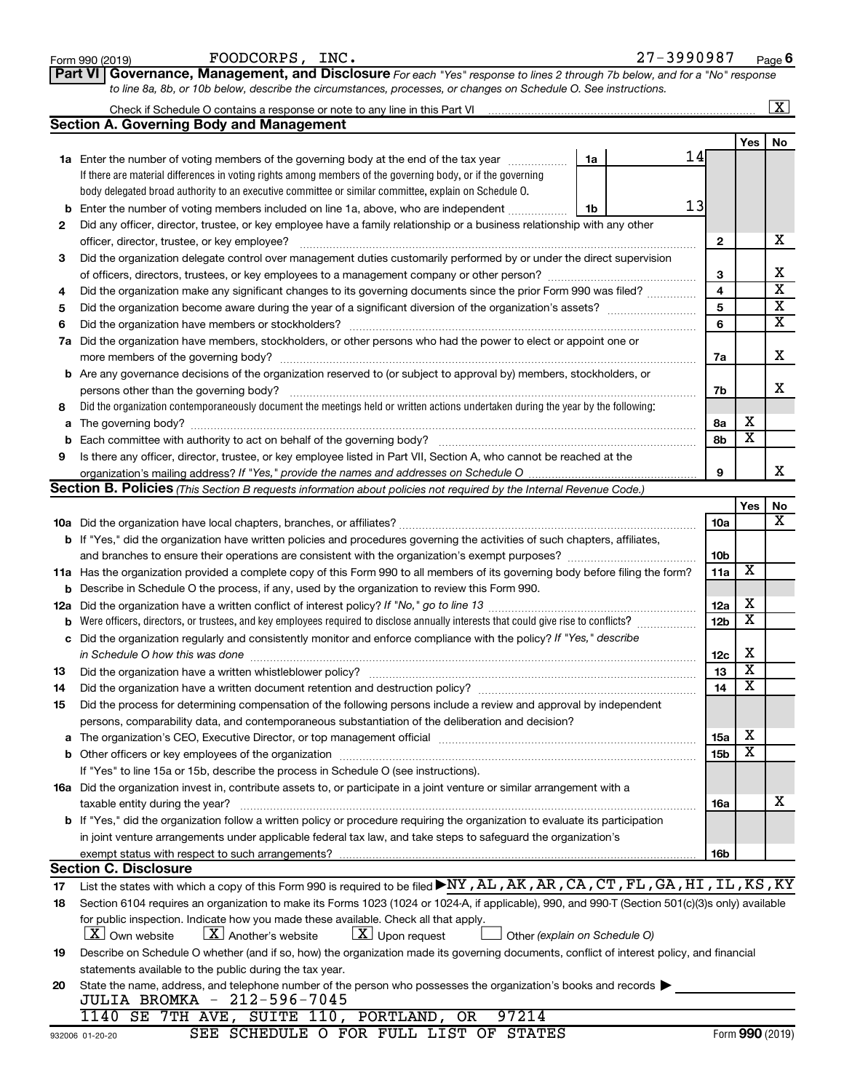|        | Part VI Governance, Management, and Disclosure For each "Yes" response to lines 2 through 7b below, and for a "No" response                                                                                                    |                         |                         |                         |  |  |  |  |  |
|--------|--------------------------------------------------------------------------------------------------------------------------------------------------------------------------------------------------------------------------------|-------------------------|-------------------------|-------------------------|--|--|--|--|--|
|        | to line 8a, 8b, or 10b below, describe the circumstances, processes, or changes on Schedule O. See instructions.                                                                                                               |                         |                         |                         |  |  |  |  |  |
|        |                                                                                                                                                                                                                                |                         |                         | $\boxed{\textbf{X}}$    |  |  |  |  |  |
|        | <b>Section A. Governing Body and Management</b>                                                                                                                                                                                |                         |                         |                         |  |  |  |  |  |
|        |                                                                                                                                                                                                                                |                         | Yes                     | No                      |  |  |  |  |  |
|        | 14<br>1a Enter the number of voting members of the governing body at the end of the tax year<br>1a                                                                                                                             |                         |                         |                         |  |  |  |  |  |
|        | If there are material differences in voting rights among members of the governing body, or if the governing                                                                                                                    |                         |                         |                         |  |  |  |  |  |
|        | body delegated broad authority to an executive committee or similar committee, explain on Schedule O.<br>13                                                                                                                    |                         |                         |                         |  |  |  |  |  |
| b      | Enter the number of voting members included on line 1a, above, who are independent<br>1b                                                                                                                                       |                         |                         |                         |  |  |  |  |  |
| 2      | Did any officer, director, trustee, or key employee have a family relationship or a business relationship with any other                                                                                                       |                         |                         | х                       |  |  |  |  |  |
|        | officer, director, trustee, or key employee?                                                                                                                                                                                   | 2                       |                         |                         |  |  |  |  |  |
| 3      | Did the organization delegate control over management duties customarily performed by or under the direct supervision                                                                                                          |                         |                         | х                       |  |  |  |  |  |
|        |                                                                                                                                                                                                                                | 3                       |                         | $\overline{\textbf{x}}$ |  |  |  |  |  |
| 4      | Did the organization make any significant changes to its governing documents since the prior Form 990 was filed?                                                                                                               | $\overline{\mathbf{4}}$ |                         | $\overline{\mathbf{x}}$ |  |  |  |  |  |
| 5      |                                                                                                                                                                                                                                | 5                       |                         | $\overline{\textbf{X}}$ |  |  |  |  |  |
| 6      |                                                                                                                                                                                                                                | 6                       |                         |                         |  |  |  |  |  |
|        | 7a Did the organization have members, stockholders, or other persons who had the power to elect or appoint one or                                                                                                              |                         |                         | X                       |  |  |  |  |  |
|        |                                                                                                                                                                                                                                | 7a                      |                         |                         |  |  |  |  |  |
|        | <b>b</b> Are any governance decisions of the organization reserved to (or subject to approval by) members, stockholders, or                                                                                                    |                         |                         | x                       |  |  |  |  |  |
|        | Did the organization contemporaneously document the meetings held or written actions undertaken during the year by the following:                                                                                              | 7b                      |                         |                         |  |  |  |  |  |
| 8      |                                                                                                                                                                                                                                |                         | х                       |                         |  |  |  |  |  |
| а      |                                                                                                                                                                                                                                | 8а<br>8b                | $\overline{\mathbf{x}}$ |                         |  |  |  |  |  |
| b<br>9 |                                                                                                                                                                                                                                |                         |                         |                         |  |  |  |  |  |
|        | Is there any officer, director, trustee, or key employee listed in Part VII, Section A, who cannot be reached at the                                                                                                           | 9                       |                         | x                       |  |  |  |  |  |
|        | <b>Section B. Policies</b> (This Section B requests information about policies not required by the Internal Revenue Code.)                                                                                                     |                         |                         |                         |  |  |  |  |  |
|        |                                                                                                                                                                                                                                |                         | Yes                     | No                      |  |  |  |  |  |
|        |                                                                                                                                                                                                                                | <b>10a</b>              |                         | x                       |  |  |  |  |  |
|        | b If "Yes," did the organization have written policies and procedures governing the activities of such chapters, affiliates,                                                                                                   |                         |                         |                         |  |  |  |  |  |
|        | and branches to ensure their operations are consistent with the organization's exempt purposes? www.www.www.www.                                                                                                               | 10 <sub>b</sub>         |                         |                         |  |  |  |  |  |
|        | 11a Has the organization provided a complete copy of this Form 990 to all members of its governing body before filing the form?                                                                                                | 11a                     | X                       |                         |  |  |  |  |  |
|        | <b>b</b> Describe in Schedule O the process, if any, used by the organization to review this Form 990.                                                                                                                         |                         |                         |                         |  |  |  |  |  |
|        |                                                                                                                                                                                                                                | 12a                     | х                       |                         |  |  |  |  |  |
|        | <b>b</b> Were officers, directors, or trustees, and key employees required to disclose annually interests that could give rise to conflicts?                                                                                   | 12 <sub>b</sub>         | $\overline{\mathbf{X}}$ |                         |  |  |  |  |  |
|        | c Did the organization regularly and consistently monitor and enforce compliance with the policy? If "Yes," describe                                                                                                           |                         |                         |                         |  |  |  |  |  |
|        |                                                                                                                                                                                                                                | 12c                     | х                       |                         |  |  |  |  |  |
| 13     |                                                                                                                                                                                                                                | 13                      | $\overline{\mathbf{X}}$ |                         |  |  |  |  |  |
| 14     | Did the organization have a written document retention and destruction policy? [111] [12] manument contains an                                                                                                                 | 14                      | $\overline{\mathtt{x}}$ |                         |  |  |  |  |  |
| 15     | Did the process for determining compensation of the following persons include a review and approval by independent                                                                                                             |                         |                         |                         |  |  |  |  |  |
|        | persons, comparability data, and contemporaneous substantiation of the deliberation and decision?                                                                                                                              |                         |                         |                         |  |  |  |  |  |
|        | The organization's CEO, Executive Director, or top management official manufactured content of the organization's CEO, Executive Director, or top management official manufactured content of the organization's CEO, Executiv | <b>15a</b>              | X                       |                         |  |  |  |  |  |
|        |                                                                                                                                                                                                                                | 15b                     | X                       |                         |  |  |  |  |  |
|        | If "Yes" to line 15a or 15b, describe the process in Schedule O (see instructions).                                                                                                                                            |                         |                         |                         |  |  |  |  |  |
|        | 16a Did the organization invest in, contribute assets to, or participate in a joint venture or similar arrangement with a                                                                                                      |                         |                         |                         |  |  |  |  |  |
|        | taxable entity during the year?                                                                                                                                                                                                | 16a                     |                         | x                       |  |  |  |  |  |
|        | <b>b</b> If "Yes," did the organization follow a written policy or procedure requiring the organization to evaluate its participation                                                                                          |                         |                         |                         |  |  |  |  |  |
|        | in joint venture arrangements under applicable federal tax law, and take steps to safeguard the organization's                                                                                                                 |                         |                         |                         |  |  |  |  |  |
|        | exempt status with respect to such arrangements?                                                                                                                                                                               | 16b                     |                         |                         |  |  |  |  |  |
|        | <b>Section C. Disclosure</b>                                                                                                                                                                                                   |                         |                         |                         |  |  |  |  |  |
| 17     | List the states with which a copy of this Form 990 is required to be filed NY, AL, AK, AR, CA, CT, FL, GA, HI, IL, KS, KY                                                                                                      |                         |                         |                         |  |  |  |  |  |
| 18     | Section 6104 requires an organization to make its Forms 1023 (1024 or 1024-A, if applicable), 990, and 990-T (Section 501(c)(3)s only) available                                                                               |                         |                         |                         |  |  |  |  |  |
|        | for public inspection. Indicate how you made these available. Check all that apply.                                                                                                                                            |                         |                         |                         |  |  |  |  |  |
|        | $\lfloor x \rfloor$ Upon request<br>$\lfloor X \rfloor$ Another's website<br>[X] Own website<br>Other (explain on Schedule O)                                                                                                  |                         |                         |                         |  |  |  |  |  |
| 19     | Describe on Schedule O whether (and if so, how) the organization made its governing documents, conflict of interest policy, and financial                                                                                      |                         |                         |                         |  |  |  |  |  |
|        | statements available to the public during the tax year.                                                                                                                                                                        |                         |                         |                         |  |  |  |  |  |
| 20     | State the name, address, and telephone number of the person who possesses the organization's books and records                                                                                                                 |                         |                         |                         |  |  |  |  |  |
|        | JULIA BROMKA - 212-596-7045                                                                                                                                                                                                    |                         |                         |                         |  |  |  |  |  |
|        | 1140 SE 7TH AVE, SUITE 110, PORTLAND, OR<br>97214                                                                                                                                                                              |                         |                         |                         |  |  |  |  |  |
|        | SEE SCHEDULE O FOR FULL LIST OF STATES<br>932006 01-20-20                                                                                                                                                                      |                         |                         | Form 990 (2019)         |  |  |  |  |  |

Form 990 (2019)  $FOODCORPS$ ,  $INC.$   $27-3990987$   $Page$ 

27-3990987 Page 6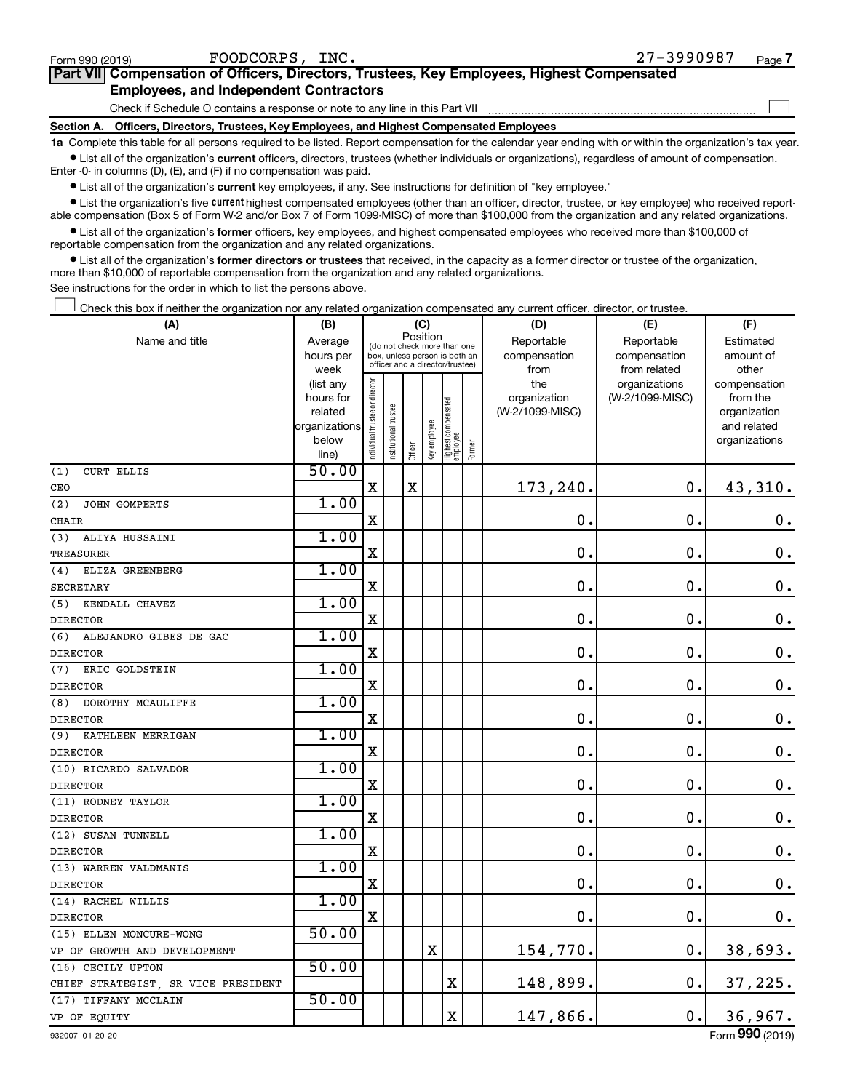$\Box$ 

| Part VII Compensation of Officers, Directors, Trustees, Key Employees, Highest Compensated |  |
|--------------------------------------------------------------------------------------------|--|
| <b>Employees, and Independent Contractors</b>                                              |  |

Check if Schedule O contains a response or note to any line in this Part VII

**Section A. Officers, Directors, Trustees, Key Employees, and Highest Compensated Employees**

**1a**  Complete this table for all persons required to be listed. Report compensation for the calendar year ending with or within the organization's tax year.  $\bullet$  List all of the organization's current officers, directors, trustees (whether individuals or organizations), regardless of amount of compensation.

Enter -0- in columns (D), (E), and (F) if no compensation was paid.

**•** List all of the organization's current key employees, if any. See instructions for definition of "key employee."

• List the organization's five *current* highest compensated employees (other than an officer, director, trustee, or key employee) who received reportable compensation (Box 5 of Form W-2 and/or Box 7 of Form 1099-MISC) of more than \$100,000 from the organization and any related organizations.

 $\bullet$  List all of the organization's former officers, key employees, and highest compensated employees who received more than \$100,000 of reportable compensation from the organization and any related organizations.

**•** List all of the organization's former directors or trustees that received, in the capacity as a former director or trustee of the organization, more than \$10,000 of reportable compensation from the organization and any related organizations.

See instructions for the order in which to list the persons above.

Check this box if neither the organization nor any related organization compensated any current officer, director, or trustee.  $\overline{a}$ 

| (A)                                 | (B)           |                                |                      | (C)                                     |              |                                   |        | (D)             | (E)             | (F)                |
|-------------------------------------|---------------|--------------------------------|----------------------|-----------------------------------------|--------------|-----------------------------------|--------|-----------------|-----------------|--------------------|
| Name and title                      | Average       |                                |                      | Position<br>(do not check more than one |              |                                   |        | Reportable      | Reportable      | Estimated          |
|                                     | hours per     |                                |                      | box, unless person is both an           |              |                                   |        | compensation    | compensation    | amount of          |
|                                     | week          |                                |                      | officer and a director/trustee)         |              |                                   |        | from            | from related    | other              |
|                                     | (list any     |                                |                      |                                         |              |                                   |        | the             | organizations   | compensation       |
|                                     | hours for     |                                |                      |                                         |              |                                   |        | organization    | (W-2/1099-MISC) | from the           |
|                                     | related       |                                |                      |                                         |              |                                   |        | (W-2/1099-MISC) |                 | organization       |
|                                     | organizations |                                |                      |                                         |              |                                   |        |                 |                 | and related        |
|                                     | below         | Individual trustee or director | nstitutional trustee | Officer                                 | Key employee | Highest compensated<br>  employee | Former |                 |                 | organizations      |
|                                     | line)         |                                |                      |                                         |              |                                   |        |                 |                 |                    |
| (1)<br><b>CURT ELLIS</b>            | 50.00         |                                |                      |                                         |              |                                   |        |                 |                 |                    |
| CEO                                 |               | $\mathbf x$                    |                      | $\mathbf X$                             |              |                                   |        | 173,240.        | $\mathbf 0$ .   | 43,310.            |
| (2)<br>JOHN GOMPERTS                | 1.00          |                                |                      |                                         |              |                                   |        |                 |                 |                    |
| <b>CHAIR</b>                        |               | $\mathbf X$                    |                      |                                         |              |                                   |        | $\mathbf 0$ .   | $\mathbf 0$ .   | 0.                 |
| (3)<br>ALIYA HUSSAINI               | 1.00          |                                |                      |                                         |              |                                   |        |                 |                 |                    |
| <b>TREASURER</b>                    |               | X                              |                      |                                         |              |                                   |        | $\mathbf 0$ .   | 0.              | 0.                 |
| ELIZA GREENBERG<br>(4)              | 1.00          |                                |                      |                                         |              |                                   |        |                 |                 |                    |
| <b>SECRETARY</b>                    |               | $\mathbf X$                    |                      |                                         |              |                                   |        | $\mathbf 0$ .   | $\mathbf 0$ .   | $\boldsymbol{0}$ . |
| KENDALL CHAVEZ<br>(5)               | 1.00          |                                |                      |                                         |              |                                   |        |                 |                 |                    |
| <b>DIRECTOR</b>                     |               | $\mathbf X$                    |                      |                                         |              |                                   |        | $\mathbf 0$ .   | $\mathbf 0$ .   | 0.                 |
| (6)<br>ALEJANDRO GIBES DE GAC       | 1.00          |                                |                      |                                         |              |                                   |        |                 |                 |                    |
| <b>DIRECTOR</b>                     |               | $\mathbf X$                    |                      |                                         |              |                                   |        | $\mathbf 0$ .   | $\mathbf 0$ .   | $\mathbf 0$ .      |
| ERIC GOLDSTEIN<br>(7)               | 1.00          |                                |                      |                                         |              |                                   |        |                 |                 |                    |
| <b>DIRECTOR</b>                     |               | $\mathbf X$                    |                      |                                         |              |                                   |        | $\mathbf 0$ .   | $\mathbf 0$ .   | 0.                 |
| (8)<br>DOROTHY MCAULIFFE            | 1.00          |                                |                      |                                         |              |                                   |        |                 |                 |                    |
| <b>DIRECTOR</b>                     |               | $\mathbf X$                    |                      |                                         |              |                                   |        | $\mathbf 0$ .   | $\mathbf 0$ .   | 0.                 |
| (9)<br>KATHLEEN MERRIGAN            | 1.00          |                                |                      |                                         |              |                                   |        |                 |                 |                    |
| <b>DIRECTOR</b>                     |               | $\mathbf X$                    |                      |                                         |              |                                   |        | 0.              | $\mathbf 0$ .   | $\mathbf 0$ .      |
| (10) RICARDO SALVADOR               | 1.00          |                                |                      |                                         |              |                                   |        |                 |                 |                    |
| <b>DIRECTOR</b>                     |               | X                              |                      |                                         |              |                                   |        | $\mathbf 0$ .   | $\mathbf 0$ .   | $\mathbf 0$ .      |
| (11) RODNEY TAYLOR                  | 1.00          |                                |                      |                                         |              |                                   |        |                 |                 |                    |
| <b>DIRECTOR</b>                     |               | $\mathbf X$                    |                      |                                         |              |                                   |        | 0.              | 0.              | $\mathbf 0$ .      |
| (12) SUSAN TUNNELL                  | 1.00          |                                |                      |                                         |              |                                   |        |                 |                 |                    |
| <b>DIRECTOR</b>                     |               | $\mathbf X$                    |                      |                                         |              |                                   |        | $\mathbf 0$ .   | $\mathbf 0$ .   | $\mathbf 0$ .      |
| (13) WARREN VALDMANIS               | 1.00          |                                |                      |                                         |              |                                   |        |                 |                 |                    |
| <b>DIRECTOR</b>                     |               | $\mathbf X$                    |                      |                                         |              |                                   |        | $\mathbf 0$ .   | $\mathbf 0$ .   | $\mathbf 0$ .      |
| (14) RACHEL WILLIS                  | 1.00          |                                |                      |                                         |              |                                   |        |                 |                 |                    |
| <b>DIRECTOR</b>                     |               | $\mathbf X$                    |                      |                                         |              |                                   |        | $\mathbf 0$ .   | $\mathbf 0$ .   | 0.                 |
| (15) ELLEN MONCURE-WONG             | 50.00         |                                |                      |                                         |              |                                   |        |                 |                 |                    |
| VP OF GROWTH AND DEVELOPMENT        |               |                                |                      |                                         | X            |                                   |        | 154,770.        | $\mathbf 0$ .   | 38,693.            |
| (16) CECILY UPTON                   | 50.00         |                                |                      |                                         |              |                                   |        |                 |                 |                    |
| CHIEF STRATEGIST, SR VICE PRESIDENT |               |                                |                      |                                         |              | $\mathbf X$                       |        | 148,899.        | $\mathbf 0$ .   | 37,225.            |
| (17) TIFFANY MCCLAIN                | 50.00         |                                |                      |                                         |              |                                   |        |                 |                 |                    |
| VP OF EQUITY                        |               |                                |                      |                                         |              | $\rm X$                           |        | 147,866.        | 0.              | 36,967.            |
| 932007 01-20-20                     |               |                                |                      |                                         |              |                                   |        |                 |                 | Form 990 (2019)    |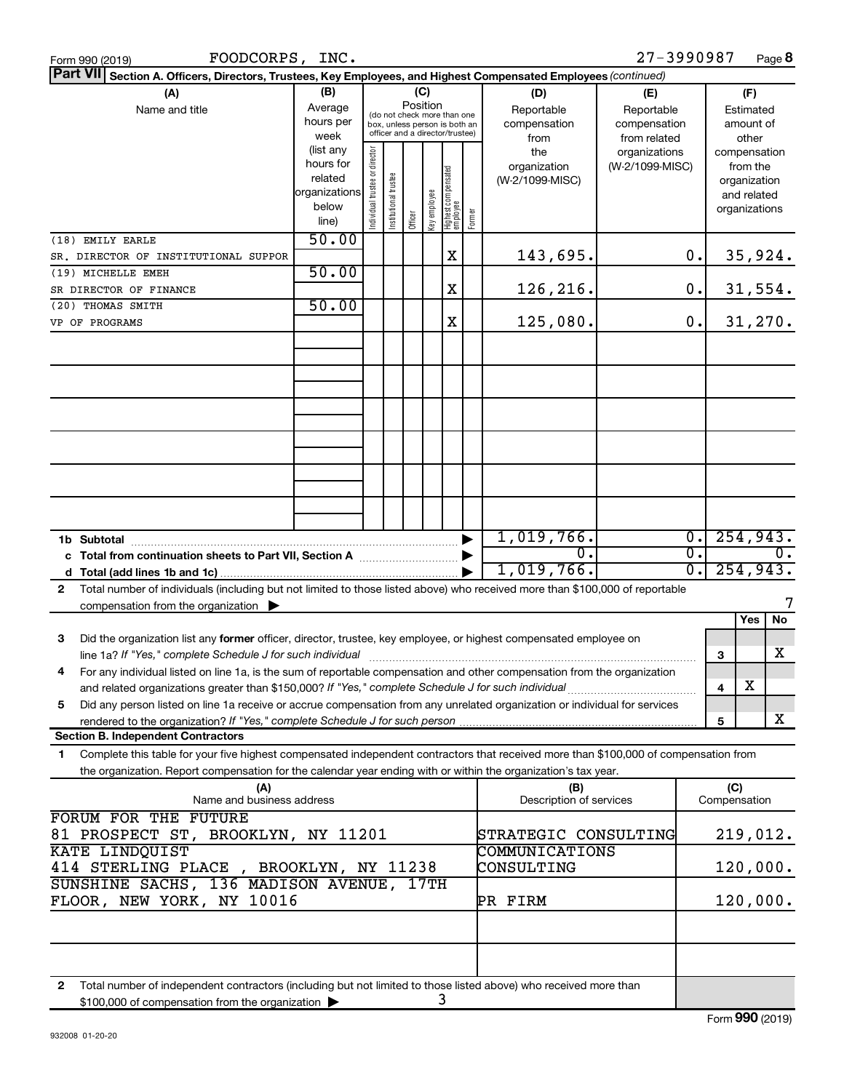| FOODCORPS, INC.<br>Form 990 (2019)                                                                                                                                                     |                                                                      |                                |                                                                                                                    |         |              |                                 |        |                                           | 27-3990987                                        |                        |                                                                          | Page 8         |
|----------------------------------------------------------------------------------------------------------------------------------------------------------------------------------------|----------------------------------------------------------------------|--------------------------------|--------------------------------------------------------------------------------------------------------------------|---------|--------------|---------------------------------|--------|-------------------------------------------|---------------------------------------------------|------------------------|--------------------------------------------------------------------------|----------------|
| Part VII Section A. Officers, Directors, Trustees, Key Employees, and Highest Compensated Employees (continued)                                                                        |                                                                      |                                |                                                                                                                    |         |              |                                 |        |                                           |                                                   |                        |                                                                          |                |
| (A)<br>Name and title                                                                                                                                                                  | (B)<br>Average<br>hours per<br>week                                  |                                | (C)<br>Position<br>(do not check more than one<br>box, unless person is both an<br>officer and a director/trustee) |         |              |                                 |        | (D)<br>Reportable<br>compensation<br>from | (E)<br>Reportable<br>compensation<br>from related |                        | (F)<br>Estimated<br>amount of<br>other                                   |                |
|                                                                                                                                                                                        | (list any<br>hours for<br>related<br>organizations<br>below<br>line) | Individual trustee or director | Institutional trustee                                                                                              | Officer | Key employee | Highest compensated<br>employee | Former | the<br>organization<br>(W-2/1099-MISC)    | organizations<br>(W-2/1099-MISC)                  |                        | compensation<br>from the<br>organization<br>and related<br>organizations |                |
| (18) EMILY EARLE                                                                                                                                                                       | 50.00                                                                |                                |                                                                                                                    |         |              |                                 |        |                                           |                                                   |                        |                                                                          |                |
| SR. DIRECTOR OF INSTITUTIONAL SUPPOR                                                                                                                                                   | 50.00                                                                |                                |                                                                                                                    |         |              | х                               |        | 143,695.                                  |                                                   | 0.                     |                                                                          | 35,924.        |
| (19) MICHELLE EMEH<br>SR DIRECTOR OF FINANCE                                                                                                                                           |                                                                      |                                |                                                                                                                    |         |              | X                               |        | 126,216.                                  |                                                   | 0.                     |                                                                          | 31,554.        |
| (20) THOMAS SMITH                                                                                                                                                                      | 50.00                                                                |                                |                                                                                                                    |         |              |                                 |        |                                           |                                                   |                        |                                                                          |                |
| VP OF PROGRAMS                                                                                                                                                                         |                                                                      |                                |                                                                                                                    |         |              | X                               |        | 125,080.                                  |                                                   | 0.                     |                                                                          | 31,270.        |
|                                                                                                                                                                                        |                                                                      |                                |                                                                                                                    |         |              |                                 |        |                                           |                                                   |                        |                                                                          |                |
|                                                                                                                                                                                        |                                                                      |                                |                                                                                                                    |         |              |                                 |        |                                           |                                                   |                        |                                                                          |                |
|                                                                                                                                                                                        |                                                                      |                                |                                                                                                                    |         |              |                                 |        |                                           |                                                   |                        |                                                                          |                |
|                                                                                                                                                                                        |                                                                      |                                |                                                                                                                    |         |              |                                 |        |                                           |                                                   |                        |                                                                          |                |
|                                                                                                                                                                                        |                                                                      |                                |                                                                                                                    |         |              |                                 |        |                                           |                                                   |                        |                                                                          |                |
|                                                                                                                                                                                        |                                                                      |                                |                                                                                                                    |         |              |                                 |        |                                           |                                                   |                        |                                                                          |                |
|                                                                                                                                                                                        |                                                                      |                                |                                                                                                                    |         |              |                                 |        | 1,019,766.                                |                                                   | $\overline{0}$ .       |                                                                          | 254,943.       |
| c Total from continuation sheets to Part VII, Section A [111] [2000]                                                                                                                   |                                                                      |                                |                                                                                                                    |         |              |                                 |        | σ.<br>1,019,766.                          |                                                   | $\overline{0}$ .<br>σ. |                                                                          | о.<br>254,943. |
| Total number of individuals (including but not limited to those listed above) who received more than \$100,000 of reportable<br>$\mathbf{2}$                                           |                                                                      |                                |                                                                                                                    |         |              |                                 |        |                                           |                                                   |                        |                                                                          |                |
| compensation from the organization $\blacktriangleright$                                                                                                                               |                                                                      |                                |                                                                                                                    |         |              |                                 |        |                                           |                                                   |                        |                                                                          | 7              |
|                                                                                                                                                                                        |                                                                      |                                |                                                                                                                    |         |              |                                 |        |                                           |                                                   |                        | Yes                                                                      | No             |
| Did the organization list any former officer, director, trustee, key employee, or highest compensated employee on<br>З                                                                 |                                                                      |                                |                                                                                                                    |         |              |                                 |        |                                           |                                                   |                        | 3                                                                        | x              |
| For any individual listed on line 1a, is the sum of reportable compensation and other compensation from the organization<br>4                                                          |                                                                      |                                |                                                                                                                    |         |              |                                 |        |                                           |                                                   |                        | х<br>4                                                                   |                |
| Did any person listed on line 1a receive or accrue compensation from any unrelated organization or individual for services<br>5                                                        |                                                                      |                                |                                                                                                                    |         |              |                                 |        |                                           |                                                   |                        |                                                                          |                |
|                                                                                                                                                                                        |                                                                      |                                |                                                                                                                    |         |              |                                 |        |                                           |                                                   |                        | 5                                                                        | X              |
| <b>Section B. Independent Contractors</b><br>Complete this table for your five highest compensated independent contractors that received more than \$100,000 of compensation from<br>1 |                                                                      |                                |                                                                                                                    |         |              |                                 |        |                                           |                                                   |                        |                                                                          |                |
| the organization. Report compensation for the calendar year ending with or within the organization's tax year.                                                                         |                                                                      |                                |                                                                                                                    |         |              |                                 |        |                                           |                                                   |                        |                                                                          |                |
| (A)<br>Name and business address<br>FORUM FOR THE FUTURE                                                                                                                               |                                                                      |                                |                                                                                                                    |         |              |                                 |        | (B)<br>Description of services            |                                                   |                        | (C)<br>Compensation                                                      |                |
| 81 PROSPECT ST, BROOKLYN, NY 11201                                                                                                                                                     |                                                                      |                                |                                                                                                                    |         |              |                                 |        | STRATEGIC CONSULTING                      |                                                   |                        |                                                                          | 219,012.       |
| KATE LINDQUIST<br>414 STERLING PLACE, BROOKLYN, NY 11238                                                                                                                               |                                                                      |                                |                                                                                                                    |         |              |                                 |        | COMMUNICATIONS<br>CONSULTING              |                                                   |                        |                                                                          | 120,000.       |
| SUNSHINE SACHS, 136 MADISON AVENUE, 17TH<br>FLOOR, NEW YORK, NY 10016                                                                                                                  |                                                                      |                                |                                                                                                                    |         |              |                                 |        | PR FIRM                                   |                                                   |                        |                                                                          | 120,000.       |
|                                                                                                                                                                                        |                                                                      |                                |                                                                                                                    |         |              |                                 |        |                                           |                                                   |                        |                                                                          |                |
|                                                                                                                                                                                        |                                                                      |                                |                                                                                                                    |         |              |                                 |        |                                           |                                                   |                        |                                                                          |                |
| Total number of independent contractors (including but not limited to those listed above) who received more than<br>$\mathbf{2}$<br>\$100,000 of compensation from the organization >  |                                                                      |                                |                                                                                                                    |         |              | 3                               |        |                                           |                                                   |                        |                                                                          |                |

\$100,000 of compensation from the organization  $\blacktriangleright$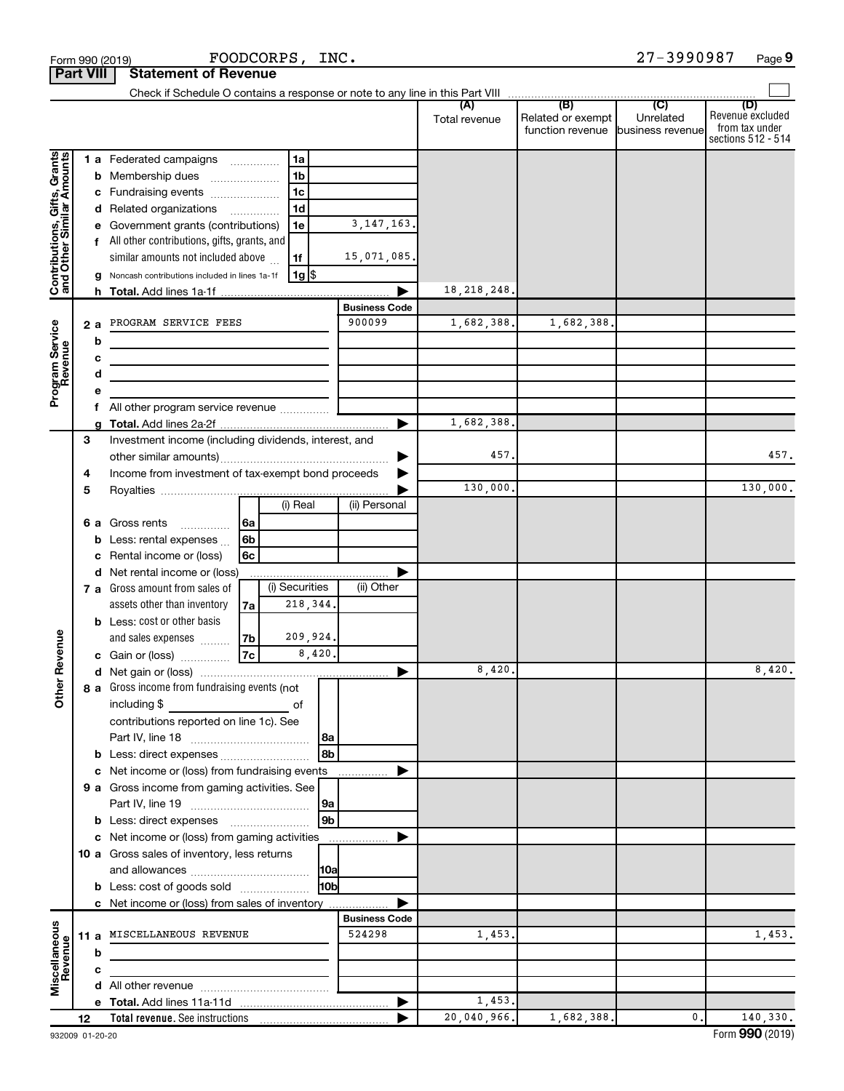|                                                           |                  |   | Form 990 (2019)                                                                                |                | FOODCORPS,     | INC.            |                      |                      |                                              | 27-3990987                           | Page 9                                                          |
|-----------------------------------------------------------|------------------|---|------------------------------------------------------------------------------------------------|----------------|----------------|-----------------|----------------------|----------------------|----------------------------------------------|--------------------------------------|-----------------------------------------------------------------|
|                                                           | <b>Part VIII</b> |   | <b>Statement of Revenue</b>                                                                    |                |                |                 |                      |                      |                                              |                                      |                                                                 |
|                                                           |                  |   |                                                                                                |                |                |                 |                      |                      |                                              |                                      |                                                                 |
|                                                           |                  |   |                                                                                                |                |                |                 |                      | (A)<br>Total revenue | (B)<br>Related or exempt<br>function revenue | (C)<br>Unrelated<br>business revenue | (D)<br>Revenue excluded<br>from tax under<br>sections 512 - 514 |
|                                                           |                  |   | <b>1 a</b> Federated campaigns                                                                 |                | 1a             |                 |                      |                      |                                              |                                      |                                                                 |
| Contributions, Gifts, Grants<br>and Other Similar Amounts |                  |   | <b>b</b> Membership dues                                                                       |                | 1 <sub>b</sub> |                 |                      |                      |                                              |                                      |                                                                 |
|                                                           |                  |   | c Fundraising events                                                                           |                | 1 <sub>c</sub> |                 |                      |                      |                                              |                                      |                                                                 |
|                                                           |                  |   | d Related organizations                                                                        |                | 1 <sub>d</sub> |                 |                      |                      |                                              |                                      |                                                                 |
|                                                           |                  |   | e Government grants (contributions)                                                            |                | 1e             |                 | 3, 147, 163.         |                      |                                              |                                      |                                                                 |
|                                                           |                  |   | f All other contributions, gifts, grants, and                                                  |                |                |                 |                      |                      |                                              |                                      |                                                                 |
|                                                           |                  |   | similar amounts not included above                                                             |                | 1f             |                 | 15,071,085.          |                      |                                              |                                      |                                                                 |
|                                                           |                  |   | g Noncash contributions included in lines 1a-1f                                                |                | $1g$ \$        |                 |                      |                      |                                              |                                      |                                                                 |
|                                                           |                  |   |                                                                                                |                |                |                 |                      | 18, 218, 248.        |                                              |                                      |                                                                 |
|                                                           |                  |   |                                                                                                |                |                |                 | <b>Business Code</b> |                      |                                              |                                      |                                                                 |
|                                                           | 2 a              |   | PROGRAM SERVICE FEES                                                                           |                |                |                 | 900099               | 1,682,388.           | 1,682,388.                                   |                                      |                                                                 |
|                                                           |                  | b |                                                                                                |                |                |                 |                      |                      |                                              |                                      |                                                                 |
|                                                           |                  | с |                                                                                                |                |                |                 |                      |                      |                                              |                                      |                                                                 |
| Program Service<br>Revenue                                |                  | d |                                                                                                |                |                |                 |                      |                      |                                              |                                      |                                                                 |
|                                                           |                  |   |                                                                                                |                |                |                 |                      |                      |                                              |                                      |                                                                 |
|                                                           |                  |   | All other program service revenue                                                              |                |                |                 |                      |                      |                                              |                                      |                                                                 |
|                                                           |                  | a |                                                                                                |                |                |                 |                      | 1,682,388.           |                                              |                                      |                                                                 |
|                                                           | 3                |   | Investment income (including dividends, interest, and                                          |                |                |                 |                      | 457.                 |                                              |                                      | 457.                                                            |
|                                                           | 4                |   | Income from investment of tax-exempt bond proceeds                                             |                |                |                 |                      |                      |                                              |                                      |                                                                 |
|                                                           | 5                |   |                                                                                                |                |                |                 |                      | 130,000.             |                                              |                                      | 130,000.                                                        |
|                                                           |                  |   |                                                                                                |                | (i) Real       |                 | (ii) Personal        |                      |                                              |                                      |                                                                 |
|                                                           |                  |   | 6 a Gross rents                                                                                | 6a             |                |                 |                      |                      |                                              |                                      |                                                                 |
|                                                           |                  |   | <b>b</b> Less: rental expenses $\ldots$                                                        | 6 <sub>b</sub> |                |                 |                      |                      |                                              |                                      |                                                                 |
|                                                           |                  | с | Rental income or (loss)                                                                        | 6c             |                |                 |                      |                      |                                              |                                      |                                                                 |
|                                                           |                  |   | d Net rental income or (loss)                                                                  |                |                |                 |                      |                      |                                              |                                      |                                                                 |
|                                                           |                  |   | 7 a Gross amount from sales of                                                                 |                | (i) Securities |                 | (ii) Other           |                      |                                              |                                      |                                                                 |
|                                                           |                  |   | assets other than inventory                                                                    | 7a             |                | 218, 344.       |                      |                      |                                              |                                      |                                                                 |
|                                                           |                  |   | <b>b</b> Less: cost or other basis                                                             |                |                |                 |                      |                      |                                              |                                      |                                                                 |
|                                                           |                  |   | and sales expenses                                                                             | 7b             |                | 209,924.        |                      |                      |                                              |                                      |                                                                 |
| evenue                                                    |                  |   | c Gain or (loss)                                                                               | <b>7c</b>      |                | 8,420.          |                      |                      |                                              |                                      |                                                                 |
|                                                           |                  |   |                                                                                                |                |                |                 |                      | 8,420                |                                              |                                      | 8,420.                                                          |
| Other R                                                   |                  |   | 8 a Gross income from fundraising events (not                                                  |                |                |                 |                      |                      |                                              |                                      |                                                                 |
|                                                           |                  |   | including \$                                                                                   |                | of             |                 |                      |                      |                                              |                                      |                                                                 |
|                                                           |                  |   | contributions reported on line 1c). See                                                        |                |                |                 |                      |                      |                                              |                                      |                                                                 |
|                                                           |                  |   |                                                                                                |                |                | 8a              |                      |                      |                                              |                                      |                                                                 |
|                                                           |                  |   |                                                                                                |                |                | 8b              |                      |                      |                                              |                                      |                                                                 |
|                                                           |                  |   | c Net income or (loss) from fundraising events<br>9 a Gross income from gaming activities. See |                |                |                 |                      |                      |                                              |                                      |                                                                 |
|                                                           |                  |   |                                                                                                |                |                | 9a              |                      |                      |                                              |                                      |                                                                 |
|                                                           |                  |   | <b>b</b> Less: direct expenses <b>manually contained</b>                                       |                |                | l 9b            |                      |                      |                                              |                                      |                                                                 |
|                                                           |                  |   | c Net income or (loss) from gaming activities                                                  |                |                |                 |                      |                      |                                              |                                      |                                                                 |
|                                                           |                  |   | <b>10 a</b> Gross sales of inventory, less returns                                             |                |                |                 |                      |                      |                                              |                                      |                                                                 |
|                                                           |                  |   |                                                                                                |                |                | <b>10a</b>      |                      |                      |                                              |                                      |                                                                 |
|                                                           |                  |   | <b>b</b> Less: cost of goods sold                                                              |                |                | 10 <sub>b</sub> |                      |                      |                                              |                                      |                                                                 |
|                                                           |                  |   | c Net income or (loss) from sales of inventory                                                 |                |                |                 |                      |                      |                                              |                                      |                                                                 |
|                                                           |                  |   |                                                                                                |                |                |                 | <b>Business Code</b> |                      |                                              |                                      |                                                                 |
| Miscellaneous<br>Revenue                                  | 11 a             |   | MISCELLANEOUS REVENUE                                                                          |                |                |                 | 524298               | 1,453.               |                                              |                                      | 1,453.                                                          |
|                                                           |                  | b |                                                                                                |                |                |                 |                      |                      |                                              |                                      |                                                                 |
|                                                           |                  | c |                                                                                                |                |                |                 |                      |                      |                                              |                                      |                                                                 |
|                                                           |                  |   |                                                                                                |                |                |                 |                      |                      |                                              |                                      |                                                                 |
|                                                           |                  |   |                                                                                                |                |                |                 |                      | 1,453.               |                                              |                                      |                                                                 |
|                                                           | 12               |   |                                                                                                |                |                |                 |                      | 20,040,966.          | 1,682,388.                                   | 0.                                   | 140,330.                                                        |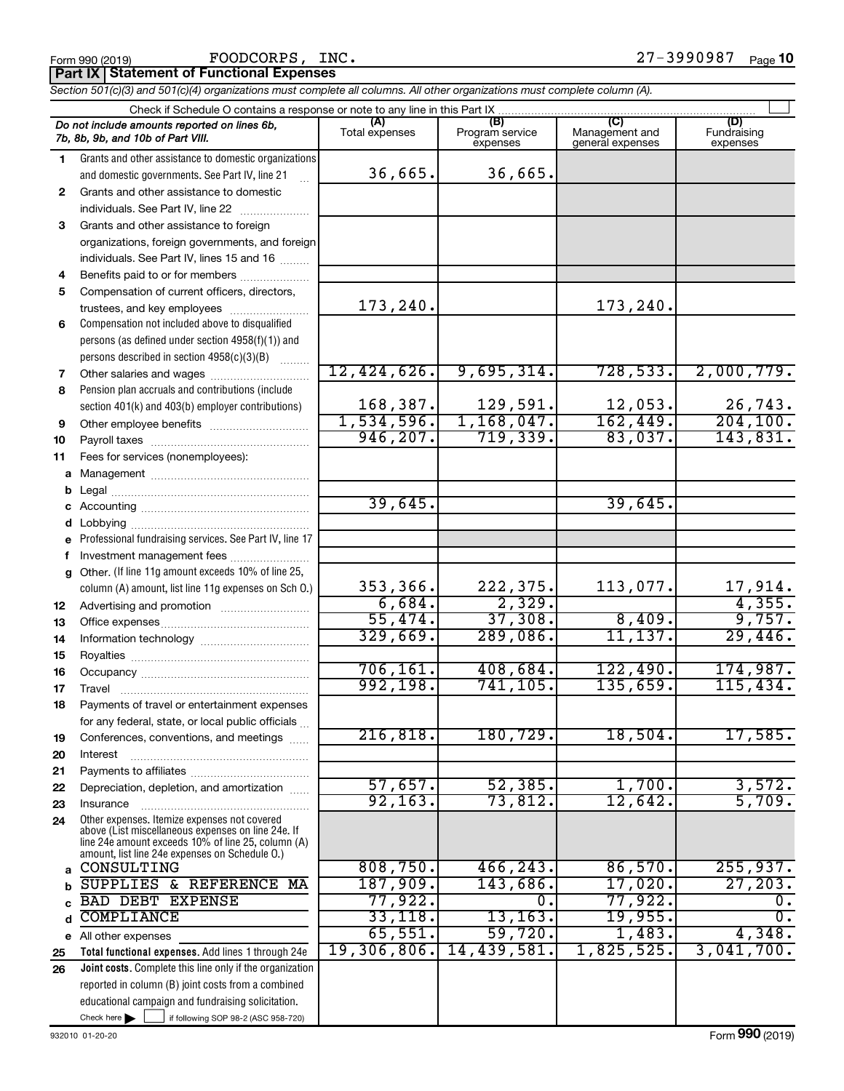**Part IX Statement of Functional Expenses**

*Section 501(c)(3) and 501(c)(4) organizations must complete all columns. All other organizations must complete column (A).*

| Check if Schedule O contains a response or note to any line in this Part IX       |                                                                                                      |                       |                                    |                                           |                                |  |  |  |
|-----------------------------------------------------------------------------------|------------------------------------------------------------------------------------------------------|-----------------------|------------------------------------|-------------------------------------------|--------------------------------|--|--|--|
| Do not include amounts reported on lines 6b,<br>7b, 8b, 9b, and 10b of Part VIII. |                                                                                                      | (A)<br>Total expenses | (B)<br>Program service<br>expenses | (C)<br>Management and<br>general expenses | (D)<br>Fundraising<br>expenses |  |  |  |
| 1                                                                                 | Grants and other assistance to domestic organizations                                                |                       |                                    |                                           |                                |  |  |  |
|                                                                                   | and domestic governments. See Part IV, line 21                                                       | 36,665.               | 36,665.                            |                                           |                                |  |  |  |
| $\mathbf{2}$                                                                      | Grants and other assistance to domestic                                                              |                       |                                    |                                           |                                |  |  |  |
|                                                                                   | individuals. See Part IV, line 22                                                                    |                       |                                    |                                           |                                |  |  |  |
| 3                                                                                 | Grants and other assistance to foreign                                                               |                       |                                    |                                           |                                |  |  |  |
|                                                                                   | organizations, foreign governments, and foreign                                                      |                       |                                    |                                           |                                |  |  |  |
|                                                                                   | individuals. See Part IV, lines 15 and 16                                                            |                       |                                    |                                           |                                |  |  |  |
| 4                                                                                 | Benefits paid to or for members                                                                      |                       |                                    |                                           |                                |  |  |  |
| 5                                                                                 | Compensation of current officers, directors,                                                         |                       |                                    |                                           |                                |  |  |  |
|                                                                                   | trustees, and key employees                                                                          | 173,240.              |                                    | 173,240.                                  |                                |  |  |  |
| 6                                                                                 | Compensation not included above to disqualified                                                      |                       |                                    |                                           |                                |  |  |  |
|                                                                                   | persons (as defined under section 4958(f)(1)) and                                                    |                       |                                    |                                           |                                |  |  |  |
|                                                                                   | persons described in section 4958(c)(3)(B)                                                           |                       |                                    |                                           |                                |  |  |  |
| 7                                                                                 | Other salaries and wages                                                                             | 12,424,626.           | 9,695,314.                         | 728,533.                                  | 2,000,779.                     |  |  |  |
| 8                                                                                 | Pension plan accruals and contributions (include                                                     |                       |                                    |                                           |                                |  |  |  |
|                                                                                   | section 401(k) and 403(b) employer contributions)                                                    | 168, 387.             | 129,591.                           | $\frac{12,053}{162,449}$                  | $\frac{26,743}{204,100}$       |  |  |  |
| 9                                                                                 | Other employee benefits                                                                              | 1,534,596.            | 1,168,047.                         |                                           |                                |  |  |  |
| 10                                                                                |                                                                                                      | 946, 207.             | 719,339.                           | 83,037.                                   | 143,831.                       |  |  |  |
| 11                                                                                | Fees for services (nonemployees):                                                                    |                       |                                    |                                           |                                |  |  |  |
| a                                                                                 |                                                                                                      |                       |                                    |                                           |                                |  |  |  |
| b                                                                                 |                                                                                                      |                       |                                    |                                           |                                |  |  |  |
|                                                                                   |                                                                                                      | 39,645.               |                                    | 39,645.                                   |                                |  |  |  |
|                                                                                   |                                                                                                      |                       |                                    |                                           |                                |  |  |  |
| е                                                                                 | Professional fundraising services. See Part IV, line 17                                              |                       |                                    |                                           |                                |  |  |  |
|                                                                                   | Investment management fees                                                                           |                       |                                    |                                           |                                |  |  |  |
| q                                                                                 | Other. (If line 11g amount exceeds 10% of line 25,                                                   |                       |                                    |                                           |                                |  |  |  |
|                                                                                   | column (A) amount, list line 11g expenses on Sch O.)                                                 | 353,366.              | $\frac{222,375.}{2,329.}$          | 113,077.                                  | $\frac{17,914}{4,355}$ .       |  |  |  |
| 12                                                                                |                                                                                                      | 6,684.                |                                    |                                           |                                |  |  |  |
| 13                                                                                |                                                                                                      | 55,474.               | 37,308.                            | 8,409.                                    | 9,757.                         |  |  |  |
| 14                                                                                |                                                                                                      | 329,669.              | 289,086.                           | 11, 137.                                  | 29,446.                        |  |  |  |
| 15                                                                                |                                                                                                      |                       |                                    |                                           |                                |  |  |  |
| 16                                                                                |                                                                                                      | 706, 161.             | 408,684.                           | 122,490.                                  | 174,987.                       |  |  |  |
| 17                                                                                |                                                                                                      | 992,198.              | 741,105.                           | 135,659.                                  | 115,434.                       |  |  |  |
| 18                                                                                | Payments of travel or entertainment expenses                                                         |                       |                                    |                                           |                                |  |  |  |
|                                                                                   | for any federal, state, or local public officials                                                    | 216,818.              |                                    |                                           |                                |  |  |  |
| 19                                                                                | Conferences, conventions, and meetings                                                               |                       | 180,729.                           | 18,504.                                   | 17,585.                        |  |  |  |
| 20                                                                                | Interest                                                                                             |                       |                                    |                                           |                                |  |  |  |
| 21                                                                                | Depreciation, depletion, and amortization                                                            | 57,657.               | 52, 385.                           | 1,700.                                    | 3,572.                         |  |  |  |
| 22                                                                                |                                                                                                      | 92, 163.              | 73,812.                            | 12,642.                                   | 5,709.                         |  |  |  |
| 23<br>24                                                                          | Insurance<br>Other expenses. Itemize expenses not covered                                            |                       |                                    |                                           |                                |  |  |  |
|                                                                                   | above (List miscellaneous expenses on line 24e. If                                                   |                       |                                    |                                           |                                |  |  |  |
|                                                                                   | line 24e amount exceeds 10% of line 25, column (A)<br>amount, list line 24e expenses on Schedule O.) |                       |                                    |                                           |                                |  |  |  |
| a                                                                                 | CONSULTING                                                                                           | 808,750.              | 466, 243.                          | 86,570.                                   | 255,937.                       |  |  |  |
|                                                                                   | SUPPLIES & REFERENCE MA                                                                              | 187,909.              | 143,686.                           | 17,020.                                   | 27, 203.                       |  |  |  |
|                                                                                   | <b>BAD DEBT EXPENSE</b>                                                                              | 77,922.               | Ο.                                 | 77,922.                                   | Ο.                             |  |  |  |
|                                                                                   | <b>COMPLIANCE</b>                                                                                    | 33,118.               | 13, 163.                           | 19,955.                                   | $\overline{0}$ .               |  |  |  |
| е                                                                                 | All other expenses                                                                                   | 65,551.               | 59,720.                            | 1,483.                                    | 4,348.                         |  |  |  |
| 25                                                                                | Total functional expenses. Add lines 1 through 24e                                                   | 19,306,806.           | 14,439,581.                        | 1,825,525.                                | 3,041,700.                     |  |  |  |
| 26                                                                                | Joint costs. Complete this line only if the organization                                             |                       |                                    |                                           |                                |  |  |  |
|                                                                                   | reported in column (B) joint costs from a combined                                                   |                       |                                    |                                           |                                |  |  |  |
|                                                                                   | educational campaign and fundraising solicitation.                                                   |                       |                                    |                                           |                                |  |  |  |
|                                                                                   | Check here $\blacktriangleright$<br>if following SOP 98-2 (ASC 958-720)                              |                       |                                    |                                           |                                |  |  |  |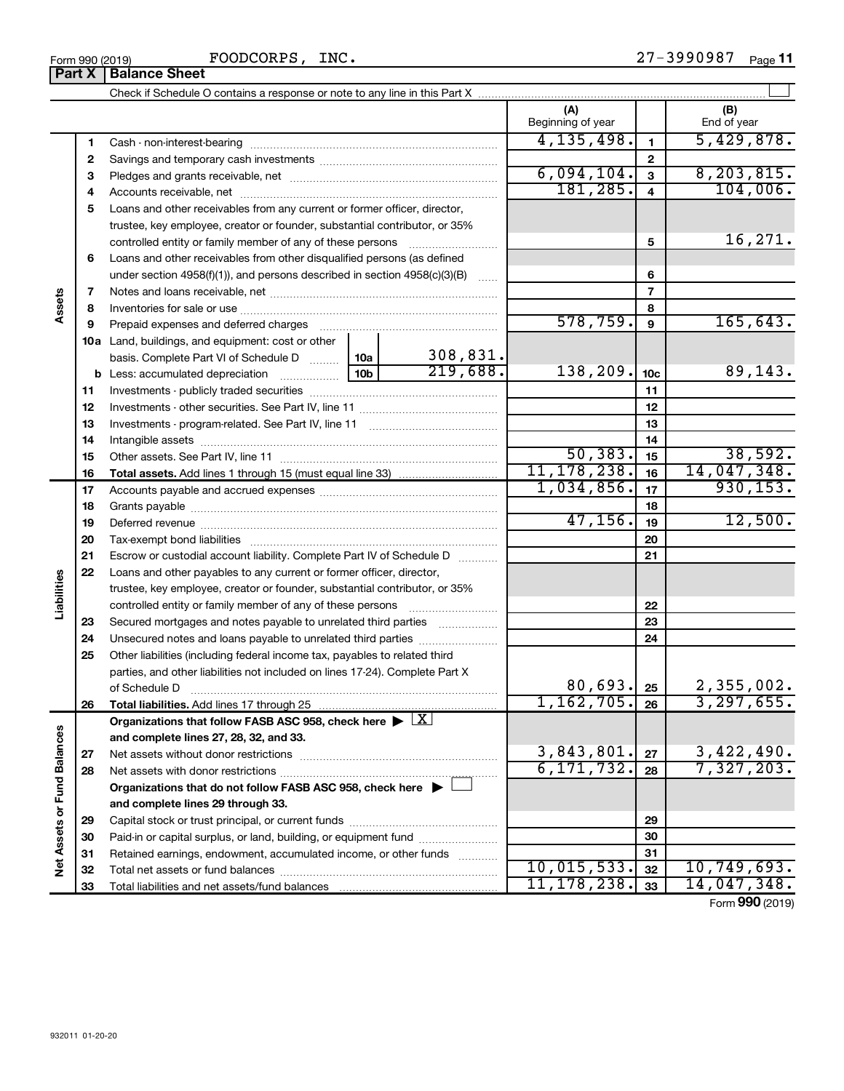Form 990 (2019) Page **11** FOODCORPS, INC. 27-3990987

|                             | Part X   | <b>Balance Sheet</b>                                                                                   |            |                |                          |                 |                            |
|-----------------------------|----------|--------------------------------------------------------------------------------------------------------|------------|----------------|--------------------------|-----------------|----------------------------|
|                             |          |                                                                                                        |            |                |                          |                 |                            |
|                             |          |                                                                                                        |            |                | (A)<br>Beginning of year |                 | (B)<br>End of year         |
|                             | 1        |                                                                                                        |            |                | 4, 135, 498.             | $\mathbf{1}$    | 5,429,878.                 |
|                             | 2        |                                                                                                        |            | $\mathbf{2}$   |                          |                 |                            |
|                             | З        |                                                                                                        | 6,094,104. | 3              | 8, 203, 815.             |                 |                            |
|                             | 4        |                                                                                                        | 181,285.   | $\overline{4}$ | 104,006.                 |                 |                            |
|                             | 5        | Loans and other receivables from any current or former officer, director,                              |            |                |                          |                 |                            |
|                             |          | trustee, key employee, creator or founder, substantial contributor, or 35%                             |            |                |                          |                 |                            |
|                             |          | controlled entity or family member of any of these persons                                             |            | 5              | 16, 271.                 |                 |                            |
|                             | 6        | Loans and other receivables from other disqualified persons (as defined                                |            |                |                          |                 |                            |
|                             |          | under section $4958(f)(1)$ , and persons described in section $4958(c)(3)(B)$                          |            | 6              |                          |                 |                            |
|                             | 7        |                                                                                                        |            |                |                          | $\overline{7}$  |                            |
| Assets                      | 8        |                                                                                                        |            |                |                          | 8               |                            |
|                             | 9        | Prepaid expenses and deferred charges                                                                  |            |                | 578,759.                 | 9               | 165, 643.                  |
|                             |          | <b>10a</b> Land, buildings, and equipment: cost or other                                               |            |                |                          |                 |                            |
|                             |          | basis. Complete Part VI of Schedule D  10a                                                             |            | 308,831.       |                          |                 |                            |
|                             |          |                                                                                                        |            | 219,688.       | 138,209.                 | 10 <sub>c</sub> | 89,143.                    |
|                             | 11       |                                                                                                        |            |                |                          | 11              |                            |
|                             | 12       |                                                                                                        |            |                |                          | 12              |                            |
|                             | 13       |                                                                                                        |            |                |                          | 13              |                            |
|                             | 14       |                                                                                                        |            |                |                          | 14              |                            |
|                             | 15       |                                                                                                        |            |                | 50, 383.                 | 15              | 38,592.                    |
|                             | 16       |                                                                                                        |            |                | 11, 178, 238.            | 16              | 14,047,348.                |
|                             | 17       |                                                                                                        |            |                | 1,034,856.               | 17              | 930, 153.                  |
|                             | 18       |                                                                                                        |            |                |                          | 18              |                            |
|                             | 19       |                                                                                                        |            |                | 47, 156.                 | 19              | 12,500.                    |
|                             | 20       |                                                                                                        |            |                |                          | 20              |                            |
|                             | 21       | Escrow or custodial account liability. Complete Part IV of Schedule D                                  |            |                |                          | 21              |                            |
|                             | 22       | Loans and other payables to any current or former officer, director,                                   |            |                |                          |                 |                            |
|                             |          | trustee, key employee, creator or founder, substantial contributor, or 35%                             |            |                |                          |                 |                            |
| Liabilities                 |          |                                                                                                        |            |                |                          | 22              |                            |
|                             | 23       | Secured mortgages and notes payable to unrelated third parties                                         |            |                |                          | 23              |                            |
|                             | 24       | Unsecured notes and loans payable to unrelated third parties                                           |            | 24             |                          |                 |                            |
|                             | 25       | Other liabilities (including federal income tax, payables to related third                             |            |                |                          |                 |                            |
|                             |          | parties, and other liabilities not included on lines 17-24). Complete Part X                           |            |                |                          |                 |                            |
|                             |          | of Schedule D                                                                                          |            |                | 80,693.<br>1,162,705.    | 25              | 2,355,002.<br>3, 297, 655. |
|                             | 26       | Total liabilities. Add lines 17 through 25                                                             |            |                |                          | 26              |                            |
|                             |          | Organizations that follow FASB ASC 958, check here $\blacktriangleright \lfloor \underline{X} \rfloor$ |            |                |                          |                 |                            |
|                             |          | and complete lines 27, 28, 32, and 33.                                                                 |            |                | 3,843,801.               | 27              |                            |
|                             | 27<br>28 |                                                                                                        |            |                | 6, 171, 732.             | 28              | 3,422,490.<br>7,327,203.   |
|                             |          | Organizations that do not follow FASB ASC 958, check here $\blacktriangleright$                        |            |                |                          |                 |                            |
| Net Assets or Fund Balances |          | and complete lines 29 through 33.                                                                      |            |                |                          |                 |                            |
|                             | 29       |                                                                                                        |            |                |                          | 29              |                            |
|                             | 30       | Paid-in or capital surplus, or land, building, or equipment fund                                       |            |                |                          | 30              |                            |
|                             | 31       | Retained earnings, endowment, accumulated income, or other funds                                       |            |                |                          | 31              |                            |
|                             | 32       |                                                                                                        |            |                | 10,015,533.              | 32              | 10, 749, 693.              |
|                             | 33       |                                                                                                        |            |                | 11, 178, 238.            | 33              | 14,047,348.                |
|                             |          |                                                                                                        |            |                |                          |                 | Form 990 (2019)            |